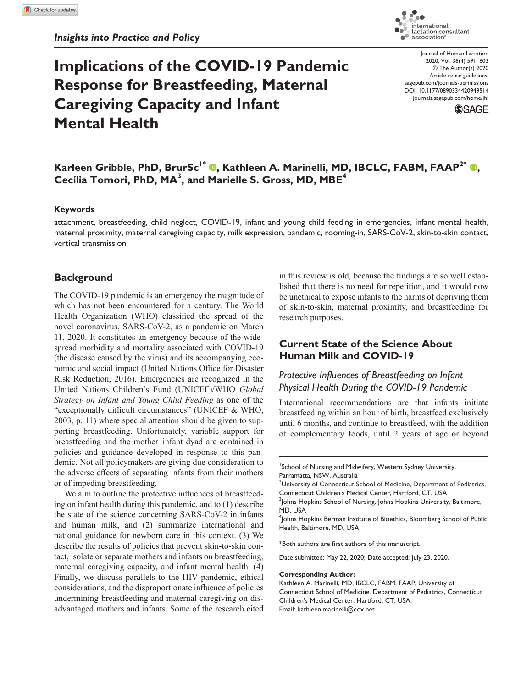# **Implications of the COVID-19 Pandemic Response for Breastfeeding, Maternal Caregiving Capacity and Infant Mental Health**

lactation consultant<br>association® Journal of Human Lactation 2020, Vol. 36(4) 591–603 © The Author(s) 2020 Article reuse guidelines: sagepub.com/journals-permissions

.<br>. international

DOI: 10.1177/0890334420949514 [journals.sagepub.com/home/jhl](https://journals.sagepub.com/home/jhl)



# $\boldsymbol{\mathsf{K}}$ arleen Gribble[,](https://orcid.org/0000-0001-9342-6833) <code>PhD, BrurSc $^{\mathsf{I}^*}$   $\boldsymbol{\mathsf{\Theta}}$ , Kathleen A. Marinelli, MD, IBCLC, FABM, FAAP $^{\mathsf{2}^*}$   $\boldsymbol{\mathsf{\Theta}}$ ,</code> **Cecília Tomori, PhD, MA<sup>3</sup> , and Marielle S. Gross, MD, MBE4**

#### **Keywords**

attachment, breastfeeding, child neglect, COVID-19, infant and young child feeding in emergencies, infant mental health, maternal proximity, maternal caregiving capacity, milk expression, pandemic, rooming-in, SARS-CoV-2, skin-to-skin contact, vertical transmission

#### **Background**

The COVID-19 pandemic is an emergency the magnitude of which has not been encountered for a century. The World Health Organization (WHO) classified the spread of the novel coronavirus, SARS-CoV-2, as a pandemic on March 11, 2020. It constitutes an emergency because of the widespread morbidity and mortality associated with COVID-19 (the disease caused by the virus) and its accompanying economic and social impact ([United Nations Office for Disaster](#page-11-0) [Risk Reduction, 2016\)](#page-11-0). Emergencies are recognized in the United Nations Children's Fund (UNICEF)/WHO *Global Strategy on Infant and Young Child Feeding* as one of the "exceptionally difficult circumstances" ([UNICEF & WHO,](#page-12-0) [2003](#page-12-0), p. 11) where special attention should be given to supporting breastfeeding. Unfortunately, variable support for breastfeeding and the mother–infant dyad are contained in policies and guidance developed in response to this pandemic. Not all policymakers are giving due consideration to the adverse effects of separating infants from their mothers or of impeding breastfeeding.

We aim to outline the protective influences of breastfeeding on infant health during this pandemic, and to (1) describe the state of the science concerning SARS-CoV-2 in infants and human milk, and (2) summarize international and national guidance for newborn care in this context. (3) We describe the results of policies that prevent skin-to-skin contact, isolate or separate mothers and infants on breastfeeding, maternal caregiving capacity, and infant mental health. (4) Finally, we discuss parallels to the HIV pandemic, ethical considerations, and the disproportionate influence of policies undermining breastfeeding and maternal caregiving on disadvantaged mothers and infants. Some of the research cited in this review is old, because the findings are so well established that there is no need for repetition, and it would now be unethical to expose infants to the harms of depriving them of skin-to-skin, maternal proximity, and breastfeeding for research purposes.

# **Current State of the Science About Human Milk and COVID-19**

## *Protective Influences of Breastfeeding on Infant Physical Health During the COVID-19 Pandemic*

International recommendations are that infants initiate breastfeeding within an hour of birth, breastfeed exclusively until 6 months, and continue to breastfeed, with the addition of complementary foods, until 2 years of age or beyond

\*Both authors are first authors of this manuscript.

Date submitted: May 22, 2020; Date accepted: July 23, 2020.

#### **Corresponding Author:**

Kathleen A. Marinelli, MD, IBCLC, FABM, FAAP, University of Connecticut School of Medicine, Department of Pediatrics, Connecticut Children's Medical Center, Hartford, CT, USA. Email: [kathleen.marinelli@cox.net](mailto:kathleen.marinelli@cox.net)

<sup>&</sup>lt;sup>1</sup>School of Nursing and Midwifery, Western Sydney University, Parramatta, NSW, Australia

 $^2$ University of Connecticut School of Medicine, Department of Pediatrics, Connecticut Children's Medical Center, Hartford, CT, USA

<sup>&</sup>lt;sup>3</sup>Johns Hopkins School of Nursing, Johns Hopkins University, Baltimore, MD, USA

<sup>4</sup> Johns Hopkins Berman Institute of Bioethics, Bloomberg School of Public Health, Baltimore, MD, USA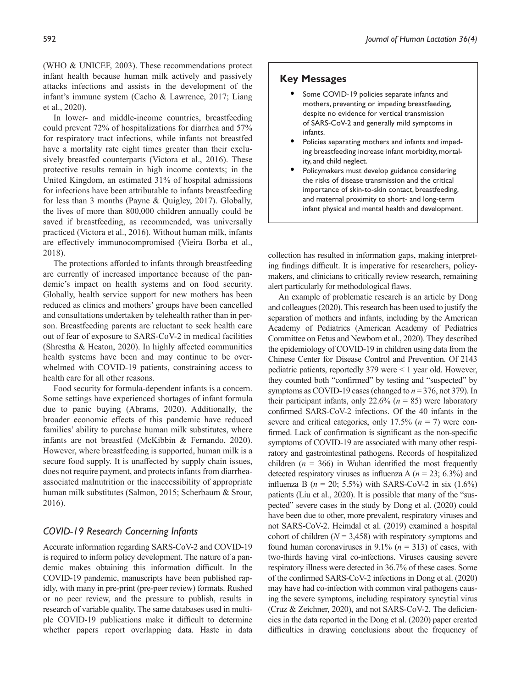([WHO & UNICEF, 2003](#page-12-0)). These recommendations protect infant health because human milk actively and passively attacks infections and assists in the development of the infant's immune system ([Cacho & Lawrence, 2017;](#page-7-0) [Liang](#page-9-0)  et [al., 2020](#page-9-0)).

In lower- and middle-income countries, breastfeeding could prevent 72% of hospitalizations for diarrhea and 57% for respiratory tract infections, while infants not breastfed have a mortality rate eight times greater than their exclusively breastfed counterparts [\(Victora et](#page-11-1) al., 2016). These protective results remain in high income contexts; in the United Kingdom, an estimated 31% of hospital admissions for infections have been attributable to infants breastfeeding for less than 3 months [\(Payne & Quigley, 2017\)](#page-10-0). Globally, the lives of more than 800,000 children annually could be saved if breastfeeding, as recommended, was universally practiced ([Victora et](#page-11-1) al., 2016). Without human milk, infants are effectively immunocompromised ([Vieira Borba et](#page-11-2) al., [2018\)](#page-11-2).

The protections afforded to infants through breastfeeding are currently of increased importance because of the pandemic's impact on health systems and on food security. Globally, health service support for new mothers has been reduced as clinics and mothers' groups have been cancelled and consultations undertaken by telehealth rather than in person. Breastfeeding parents are reluctant to seek health care out of fear of exposure to SARS-CoV-2 in medical facilities ([Shrestha & Heaton, 2020](#page-10-1)). In highly affected communities health systems have been and may continue to be overwhelmed with COVID-19 patients, constraining access to health care for all other reasons.

Food security for formula-dependent infants is a concern. Some settings have experienced shortages of infant formula due to panic buying ([Abrams, 2020\)](#page-7-1). Additionally, the broader economic effects of this pandemic have reduced families' ability to purchase human milk substitutes, where infants are not breastfed [\(McKibbin & Fernando, 2020\)](#page-9-1). However, where breastfeeding is supported, human milk is a secure food supply. It is unaffected by supply chain issues, does not require payment, and protects infants from diarrheaassociated malnutrition or the inaccessibility of appropriate human milk substitutes ([Salmon, 2015](#page-10-2); [Scherbaum & Srour,](#page-10-3)  [2016\)](#page-10-3).

## *COVID-19 Research Concerning Infants*

Accurate information regarding SARS-CoV-2 and COVID-19 is required to inform policy development. The nature of a pandemic makes obtaining this information difficult. In the COVID-19 pandemic, manuscripts have been published rapidly, with many in pre-print (pre-peer review) formats. Rushed or no peer review, and the pressure to publish, results in research of variable quality. The same databases used in multiple COVID-19 publications make it difficult to determine whether papers report overlapping data. Haste in data

#### **Key Messages**

- Some COVID-19 policies separate infants and mothers, preventing or impeding breastfeeding, despite no evidence for vertical transmission of SARS-CoV-2 and generally mild symptoms in infants.
- Policies separating mothers and infants and impeding breastfeeding increase infant morbidity, mortality, and child neglect.
- Policymakers must develop guidance considering the risks of disease transmission and the critical importance of skin-to-skin contact, breastfeeding, and maternal proximity to short- and long-term infant physical and mental health and development.

collection has resulted in information gaps, making interpreting findings difficult. It is imperative for researchers, policymakers, and clinicians to critically review research, remaining alert particularly for methodological flaws.

An example of problematic research is an article by [Dong](#page-8-0)  [and colleagues \(2020\).](#page-8-0) This research has been used to justify the separation of mothers and infants, including by the American Academy of Pediatrics [\(American Academy of Pediatrics](#page-7-2)  [Committee on Fetus and Newborn et](#page-7-2) al., 2020). They described the epidemiology of COVID-19 in children using data from the Chinese Center for Disease Control and Prevention. Of 2143 pediatric patients, reportedly 379 were < 1 year old. However, they counted both "confirmed" by testing and "suspected" by symptoms as COVID-19 cases (changed to *n* = 376, not 379). In their participant infants, only 22.6%  $(n = 85)$  were laboratory confirmed SARS-CoV-2 infections. Of the 40 infants in the severe and critical categories, only 17.5% (*n* = 7) were confirmed. Lack of confirmation is significant as the non-specific symptoms of COVID-19 are associated with many other respiratory and gastrointestinal pathogens. Records of hospitalized children  $(n = 366)$  in Wuhan identified the most frequently detected respiratory viruses as influenza A ( $n = 23$ ; 6.3%) and influenza B  $(n = 20; 5.5\%)$  with SARS-CoV-2 in six  $(1.6\%)$ patients (Liu et [al., 2020](#page-9-2)). It is possible that many of the "suspected" severe cases in the study by Dong et [al. \(2020\)](#page-8-0) could have been due to other, more prevalent, respiratory viruses and not SARS-CoV-2. [Heimdal et](#page-8-1) al. (2019) examined a hospital cohort of children  $(N = 3,458)$  with respiratory symptoms and found human coronaviruses in 9.1% (*n* = 313) of cases, with two-thirds having viral co-infections. Viruses causing severe respiratory illness were detected in 36.7% of these cases. Some of the confirmed SARS-CoV-2 infections in Dong et [al. \(2020\)](#page-8-0) may have had co-infection with common viral pathogens causing the severe symptoms, including respiratory syncytial virus ([Cruz & Zeichner, 2020](#page-8-2)), and not SARS-CoV-2. The deficiencies in the data reported in the Dong et [al. \(2020\)](#page-8-0) paper created difficulties in drawing conclusions about the frequency of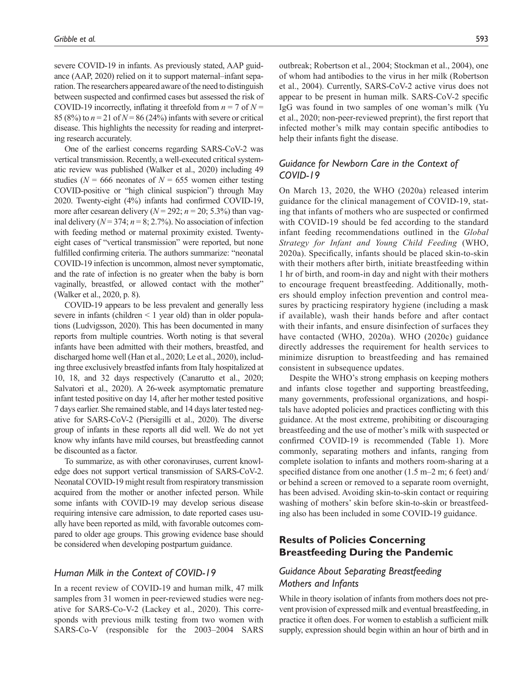severe COVID-19 in infants. As previously stated, AAP guidance ([AAP, 2020](#page-7-2)) relied on it to support maternal–infant separation. The researchers appeared aware of the need to distinguish between suspected and confirmed cases but assessed the risk of COVID-19 incorrectly, inflating it threefold from  $n = 7$  of  $N =$ 85 (8%) to  $n = 21$  of  $N = 86$  (24%) infants with severe or critical disease. This highlights the necessity for reading and interpreting research accurately.

One of the earliest concerns regarding SARS-CoV-2 was vertical transmission. Recently, a well-executed critical systematic review was published ([Walker et](#page-11-3) al., 2020) including 49 studies ( $N = 666$  neonates of  $N = 655$  women either testing COVID-positive or "high clinical suspicion") through May 2020. Twenty-eight (4%) infants had confirmed COVID-19, more after cesarean delivery  $(N = 292; n = 20; 5.3%)$  than vaginal delivery ( $N = 374$ ;  $n = 8$ ; 2.7%). No association of infection with feeding method or maternal proximity existed. Twentyeight cases of "vertical transmission" were reported, but none fulfilled confirming criteria. The authors summarize: "neonatal COVID-19 infection is uncommon, almost never symptomatic, and the rate of infection is no greater when the baby is born vaginally, breastfed, or allowed contact with the mother" [\(Walker et](#page-11-3) al., 2020, p. 8).

COVID-19 appears to be less prevalent and generally less severe in infants (children < 1 year old) than in older populations [\(Ludvigsson, 2020](#page-9-3)). This has been documented in many reports from multiple countries. Worth noting is that several infants have been admitted with their mothers, breastfed, and discharged home well (Han et [al., 2020](#page-8-3); Le et [al., 2020\)](#page-9-4), including three exclusively breastfed infants from Italy hospitalized at 10, 18, and 32 days respectively [\(Canarutto et](#page-7-3) al., 2020; [Salvatori et](#page-10-4) al., 2020). A 26-week asymptomatic premature infant tested positive on day 14, after her mother tested positive 7 days earlier. She remained stable, and 14 days later tested negative for SARS-CoV-2 [\(Piersigilli et](#page-10-5) al., 2020). The diverse group of infants in these reports all did well. We do not yet know why infants have mild courses, but breastfeeding cannot be discounted as a factor.

To summarize, as with other coronaviruses, current knowledge does not support vertical transmission of SARS-CoV-2. Neonatal COVID-19 might result from respiratory transmission acquired from the mother or another infected person. While some infants with COVID-19 may develop serious disease requiring intensive care admission, to date reported cases usually have been reported as mild, with favorable outcomes compared to older age groups. This growing evidence base should be considered when developing postpartum guidance.

#### *Human Milk in the Context of COVID-19*

In a recent review of COVID-19 and human milk, 47 milk samples from 31 women in peer-reviewed studies were negative for SARS-Co-V-2 ([Lackey et](#page-9-5) al., 2020). This corresponds with previous milk testing from two women with SARS-Co-V (responsible for the 2003–2004 SARS

outbreak; [Robertson et](#page-10-6) al., 2004; [Stockman et](#page-10-7) al., 2004), one of whom had antibodies to the virus in her milk [\(Robertson](#page-10-6) et [al., 2004](#page-10-6)). Currently, SARS-CoV-2 active virus does not appear to be present in human milk. SARS-CoV-2 specific IgG was found in two samples of one woman's milk [\(Yu](#page-12-1) et [al., 2020](#page-12-1); non-peer-reviewed preprint), the first report that infected mother's milk may contain specific antibodies to help their infants fight the disease.

# *Guidance for Newborn Care in the Context of COVID-19*

On March 13, 2020, the [WHO \(2020a\)](#page-11-4) released interim guidance for the clinical management of COVID-19, stating that infants of mothers who are suspected or confirmed with COVID-19 should be fed according to the standard infant feeding recommendations outlined in the *Global Strategy for Infant and Young Child Feeding* ([WHO,](#page-11-4) [2020a](#page-11-4)). Specifically, infants should be placed skin-to-skin with their mothers after birth, initiate breastfeeding within 1 hr of birth, and room-in day and night with their mothers to encourage frequent breastfeeding. Additionally, mothers should employ infection prevention and control measures by practicing respiratory hygiene (including a mask if available), wash their hands before and after contact with their infants, and ensure disinfection of surfaces they have contacted ([WHO, 2020a](#page-11-4)). [WHO \(2020c\)](#page-11-5) guidance directly addresses the requirement for health services to minimize disruption to breastfeeding and has remained consistent in subsequence updates.

Despite the WHO's strong emphasis on keeping mothers and infants close together and supporting breastfeeding, many governments, professional organizations, and hospitals have adopted policies and practices conflicting with this guidance. At the most extreme, prohibiting or discouraging breastfeeding and the use of mother's milk with suspected or confirmed COVID-19 is recommended ([Table](#page-3-0) 1). More commonly, separating mothers and infants, ranging from complete isolation to infants and mothers room-sharing at a specified distance from one another (1.5 m–2 m; 6 feet) and/ or behind a screen or removed to a separate room overnight, has been advised. Avoiding skin-to-skin contact or requiring washing of mothers' skin before skin-to-skin or breastfeeding also has been included in some COVID-19 guidance.

## **Results of Policies Concerning Breastfeeding During the Pandemic**

## *Guidance About Separating Breastfeeding Mothers and Infants*

While in theory isolation of infants from mothers does not prevent provision of expressed milk and eventual breastfeeding, in practice it often does. For women to establish a sufficient milk supply, expression should begin within an hour of birth and in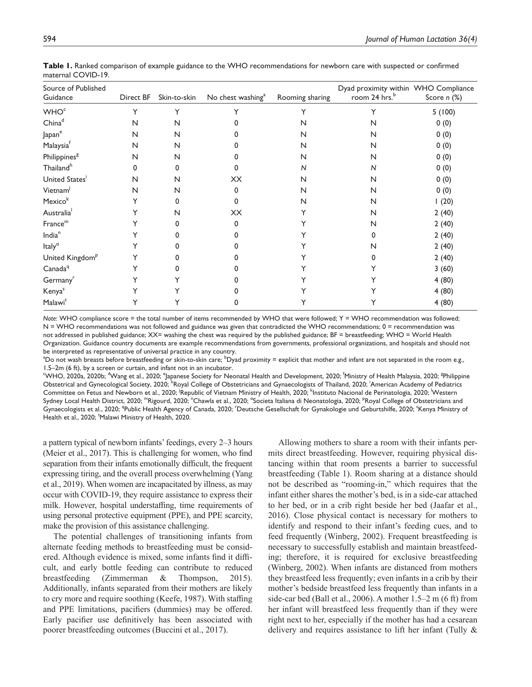| Source of Published<br>Guidance | Direct BF | Skin-to-skin | No chest washing <sup>a</sup> | Rooming sharing | Dyad proximity within WHO Compliance<br>room 24 hrs. <sup>b</sup> | Score $n$ $%$ |
|---------------------------------|-----------|--------------|-------------------------------|-----------------|-------------------------------------------------------------------|---------------|
| <b>WHO<sup>c</sup></b>          | Y         | Υ            | Y                             |                 | Y                                                                 | 5(100)        |
| China <sup>d</sup>              | N         | N            |                               | N               | N                                                                 | 0(0)          |
| ${\sf Japan}^{\rm e}$           | N         | N            |                               | N               | N                                                                 | 0(0)          |
| Malaysiaf                       | N         | N            |                               | N               | N                                                                 | 0(0)          |
| Philippines <sup>g</sup>        | N         | N            | n                             | N               | N                                                                 | 0(0)          |
| Thailand <sup>h</sup>           | 0         | $\Omega$     | 0                             | N               | N                                                                 | 0(0)          |
| United States <sup>i</sup>      | N         | N            | XX                            | N               | N                                                                 | 0(0)          |
| Vietnam <sup>j</sup>            | N         | N            | $\Omega$                      | N               | N                                                                 | 0(0)          |
| Mexico <sup>k</sup>             |           | 0            | $\Omega$                      | N               | N                                                                 | 1(20)         |
| Australia <sup>1</sup>          |           | N            | XX                            |                 | N                                                                 | 2(40)         |
| $\mathsf{France}^{\mathsf{m}}$  |           | O            | O                             |                 | N                                                                 | 2(40)         |
| India <sup>n</sup>              |           |              | n                             |                 | 0                                                                 | 2(40)         |
| Italy <sup>o</sup>              |           |              | 0                             |                 | N                                                                 | 2(40)         |
| United Kingdom <sup>P</sup>     |           |              |                               |                 | o                                                                 | 2(40)         |
| Canada <sup>q</sup>             |           |              |                               |                 |                                                                   | 3(60)         |
| Germany <sup>r</sup>            |           |              |                               |                 |                                                                   | 4(80)         |
| Kenya <sup>s</sup>              |           |              |                               |                 |                                                                   | 4(80)         |
| Malawi <sup>t</sup>             |           |              | o                             |                 |                                                                   | 4(80)         |

<span id="page-3-0"></span>**Table 1.** Ranked comparison of example guidance to the WHO recommendations for newborn care with suspected or confirmed maternal COVID-19.

*Note*: WHO compliance score = the total number of items recommended by WHO that were followed; Y = WHO recommendation was followed;  $N = WHO$  recommendations was not followed and guidance was given that contradicted the WHO recommendations;  $0 =$  recommendation was not addressed in published guidance; XX= washing the chest was required by the published guidance; BF = breastfeeding; WHO = World Health Organization. Guidance country documents are example recommendations from governments, professional organizations, and hospitals and should not be interpreted as representative of universal practice in any country.

 $^{\rm a}$ Do not wash breasts before breastfeeding or skin-to-skin care;  $^{\rm b}$ Dyad proximity = explicit that mother and infant are not separated in the room e.g., 1.5–2m (6 ft), by a screen or curtain, and infant not in an incubator.

<sup>c</sup>[WHO, 2020a](#page-11-4), [2020b](#page-11-6); <sup>d</sup>Wang et [al., 2020;](#page-11-7) <sup>e</sup>[Japanese Society for Neonatal Health and Development, 2020](#page-8-4); <sup>f</sup>[Ministry of Health Malaysia, 2020;](#page-9-6) <sup>g</sup>Philippine [Obstetrical and Gynecological Society, 2020;](#page-10-8) <sup>h</sup>[Royal College of Obstetricians and Gynaecologists of Thailand, 2020](#page-10-9); <sup>i</sup>American Academy of Pediatrics [Committee on Fetus and Newborn et](#page-7-2) al., 2020; <sup>I</sup>[Republic of Vietnam Ministry of Health, 2020](#page-10-10); <sup>k</sup>[Instituto Nacional de Perinatologia, 2020](#page-8-5); <sup>I</sup>Western [Sydney Local Health District, 2020;](#page-11-8) "'Rigourd, 2020; "[Chawla et](#page-7-4) al., 2020; °[Societa Italiana di Neonatologia, 2020](#page-10-12); <sup>p</sup>Royal College of Obstetricians and [Gynaecologists et](#page-10-13) al., 2020; <sup>q</sup>[Public Health Agency of Canada, 2020](#page-10-14); <sup>r</sup>[Deutsche Gesellschaft for Gynakologie und Geburtshilfe, 2020](#page-8-6); <sup>s</sup>Kenya Ministry of [Health et](#page-9-7) al., 2020; <sup>t</sup>[Malawi Ministry of Health, 2020.](#page-9-8)

a pattern typical of newborn infants' feedings, every 2–3 hours (Meier et [al., 2017](#page-9-9)). This is challenging for women, who find separation from their infants emotionally difficult, the frequent expressing tiring, and the overall process overwhelming [\(Yang](#page-12-2)  et [al., 2019\)](#page-12-2). When women are incapacitated by illness, as may occur with COVID-19, they require assistance to express their milk. However, hospital understaffing, time requirements of using personal protective equipment (PPE), and PPE scarcity, make the provision of this assistance challenging.

The potential challenges of transitioning infants from alternate feeding methods to breastfeeding must be considered. Although evidence is mixed, some infants find it difficult, and early bottle feeding can contribute to reduced breastfeeding ([Zimmerman & Thompson, 2015\)](#page-12-3). Additionally, infants separated from their mothers are likely to cry more and require soothing [\(Keefe, 1987](#page-8-7)). With staffing and PPE limitations, pacifiers (dummies) may be offered. Early pacifier use definitively has been associated with poorer breastfeeding outcomes ([Buccini et](#page-7-5) al., 2017).

Allowing mothers to share a room with their infants permits direct breastfeeding. However, requiring physical distancing within that room presents a barrier to successful breastfeeding (Table 1). Room sharing at a distance should not be described as "rooming-in," which requires that the infant either shares the mother's bed, is in a side-car attached to her bed, or in a crib right beside her bed ([Jaafar et](#page-8-8) al., [2016\)](#page-8-8). Close physical contact is necessary for mothers to identify and respond to their infant's feeding cues, and to feed frequently [\(Winberg, 2002](#page-11-9)). Frequent breastfeeding is necessary to successfully establish and maintain breastfeeding; therefore, it is required for exclusive breastfeeding ([Winberg, 2002](#page-11-9)). When infants are distanced from mothers they breastfeed less frequently; even infants in a crib by their mother's bedside breastfeed less frequently than infants in a side-car bed (Ball et [al., 2006\)](#page-7-6). A mother 1.5–2 m (6 ft) from her infant will breastfeed less frequently than if they were right next to her, especially if the mother has had a cesarean delivery and requires assistance to lift her infant ([Tully &](#page-11-10)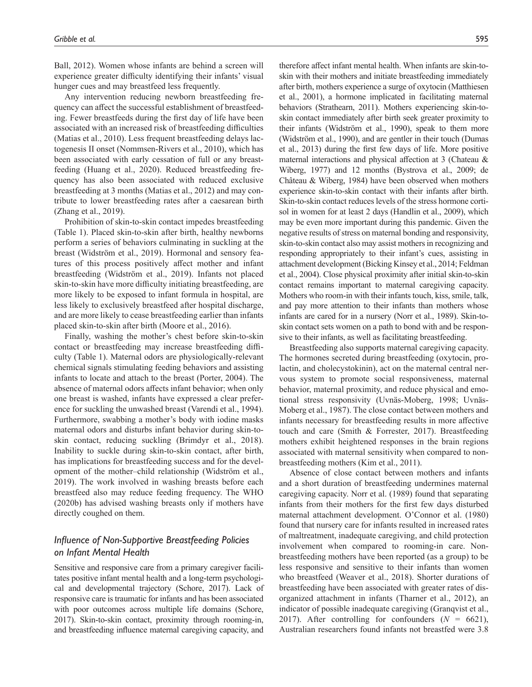[Ball, 2012\)](#page-11-10). Women whose infants are behind a screen will experience greater difficulty identifying their infants' visual hunger cues and may breastfeed less frequently.

Any intervention reducing newborn breastfeeding frequency can affect the successful establishment of breastfeeding. Fewer breastfeeds during the first day of life have been associated with an increased risk of breastfeeding difficulties ([Matias et](#page-9-10) al., 2010). Less frequent breastfeeding delays lactogenesis II onset ([Nommsen-Rivers et](#page-9-11) al., 2010), which has been associated with early cessation of full or any breastfeeding [\(Huang et](#page-8-9) al., 2020). Reduced breastfeeding frequency has also been associated with reduced exclusive breastfeeding at 3 months [\(Matias et](#page-9-12) al., 2012) and may contribute to lower breastfeeding rates after a caesarean birth ([Zhang et](#page-12-4) al., 2019).

Prohibition of skin-to-skin contact impedes breastfeeding (Table 1). Placed skin-to-skin after birth, healthy newborns perform a series of behaviors culminating in suckling at the breast [\(Widström et](#page-11-11) al., 2019). Hormonal and sensory features of this process positively affect mother and infant breastfeeding [\(Widström et](#page-11-11) al., 2019). Infants not placed skin-to-skin have more difficulty initiating breastfeeding, are more likely to be exposed to infant formula in hospital, are less likely to exclusively breastfeed after hospital discharge, and are more likely to cease breastfeeding earlier than infants placed skin-to-skin after birth ([Moore et](#page-9-13) al., 2016).

Finally, washing the mother's chest before skin-to-skin contact or breastfeeding may increase breastfeeding difficulty (Table 1). Maternal odors are physiologically-relevant chemical signals stimulating feeding behaviors and assisting infants to locate and attach to the breast ([Porter, 2004](#page-10-15)). The absence of maternal odors affects infant behavior; when only one breast is washed, infants have expressed a clear preference for suckling the unwashed breast ([Varendi et](#page-11-12) al., 1994). Furthermore, swabbing a mother's body with iodine masks maternal odors and disturbs infant behavior during skin-toskin contact, reducing suckling [\(Brimdyr et](#page-7-7) al., 2018). Inability to suckle during skin-to-skin contact, after birth, has implications for breastfeeding success and for the development of the mother–child relationship [\(Widström et](#page-11-11) al., [2019](#page-11-11)). The work involved in washing breasts before each breastfeed also may reduce feeding frequency. The [WHO](#page-11-6) [\(2020b\)](#page-11-6) has advised washing breasts only if mothers have directly coughed on them.

## *Influence of Non-Supportive Breastfeeding Policies on Infant Mental Health*

Sensitive and responsive care from a primary caregiver facilitates positive infant mental health and a long-term psychological and developmental trajectory ([Schore, 2017\)](#page-10-16). Lack of responsive care is traumatic for infants and has been associated with poor outcomes across multiple life domains [\(Schore,](#page-10-16) [2017\)](#page-10-16). Skin-to-skin contact, proximity through rooming-in, and breastfeeding influence maternal caregiving capacity, and

therefore affect infant mental health. When infants are skin-toskin with their mothers and initiate breastfeeding immediately after birth, mothers experience a surge of oxytocin [\(Matthiesen](#page-9-14) et [al., 2001](#page-9-14)), a hormone implicated in facilitating maternal behaviors [\(Strathearn, 2011\)](#page-11-13). Mothers experiencing skin-toskin contact immediately after birth seek greater proximity to their infants [\(Widström et](#page-11-14) al., 1990), speak to them more ([Widström et](#page-11-14) al., 1990), and are gentler in their touch ([Dumas](#page-8-10) et [al., 2013](#page-8-10)) during the first few days of life. More positive maternal interactions and physical affection at 3 ([Chateau &](#page-7-8) [Wiberg, 1977\)](#page-7-8) and 12 months ([Bystrova et](#page-7-9) al., 2009; [de](#page-8-11) [Château & Wiberg, 1984](#page-8-11)) have been observed when mothers experience skin-to-skin contact with their infants after birth. Skin-to-skin contact reduces levels of the stress hormone cortisol in women for at least 2 days ([Handlin et](#page-8-12) al., 2009), which may be even more important during this pandemic. Given the negative results of stress on maternal bonding and responsivity, skin-to-skin contact also may assist mothers in recognizing and responding appropriately to their infant's cues, assisting in attachment development ([Bicking Kinsey et](#page-7-10) al., 2014; [Feldman](#page-8-13) et [al., 2004](#page-8-13)). Close physical proximity after initial skin-to-skin contact remains important to maternal caregiving capacity. Mothers who room-in with their infants touch, kiss, smile, talk, and pay more attention to their infants than mothers whose infants are cared for in a nursery (Norr et [al., 1989](#page-9-15)). Skin-toskin contact sets women on a path to bond with and be responsive to their infants, as well as facilitating breastfeeding.

Breastfeeding also supports maternal caregiving capacity. The hormones secreted during breastfeeding (oxytocin, prolactin, and cholecystokinin), act on the maternal central nervous system to promote social responsiveness, maternal behavior, maternal proximity, and reduce physical and emotional stress responsivity [\(Uvnäs-Moberg, 1998;](#page-11-15) [Uvnäs-](#page-11-16)[Moberg et](#page-11-16) al., 1987). The close contact between mothers and infants necessary for breastfeeding results in more affective touch and care [\(Smith & Forrester, 2017](#page-10-17)). Breastfeeding mothers exhibit heightened responses in the brain regions associated with maternal sensitivity when compared to nonbreastfeeding mothers (Kim et [al., 2011](#page-9-16)).

Absence of close contact between mothers and infants and a short duration of breastfeeding undermines maternal caregiving capacity. Norr et [al. \(1989\)](#page-9-15) found that separating infants from their mothers for the first few days disturbed maternal attachment development. [O'Connor et](#page-10-18) al. (1980) found that nursery care for infants resulted in increased rates of maltreatment, inadequate caregiving, and child protection involvement when compared to rooming-in care. Nonbreastfeeding mothers have been reported (as a group) to be less responsive and sensitive to their infants than women who breastfeed [\(Weaver et](#page-11-17) al., 2018). Shorter durations of breastfeeding have been associated with greater rates of disorganized attachment in infants [\(Tharner et](#page-11-18) al., 2012), an indicator of possible inadequate caregiving ([Granqvist et](#page-8-14) al., [2017](#page-8-14)). After controlling for confounders  $(N = 6621)$ , Australian researchers found infants not breastfed were 3.8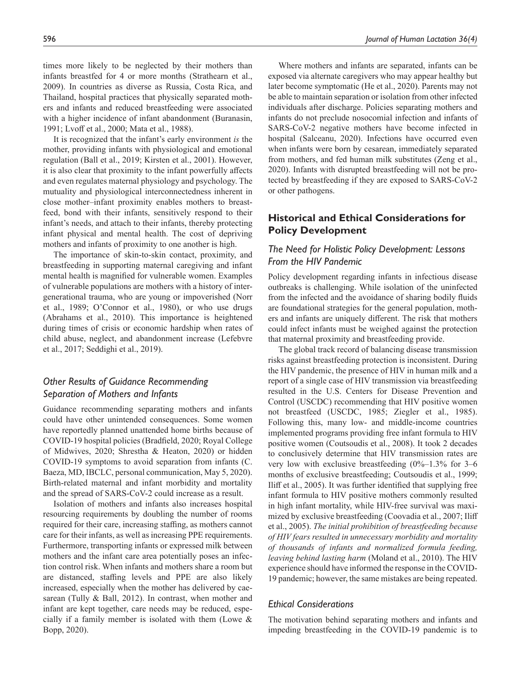times more likely to be neglected by their mothers than infants breastfed for 4 or more months ([Strathearn et](#page-11-19) al., [2009\)](#page-11-19). In countries as diverse as Russia, Costa Rica, and Thailand, hospital practices that physically separated mothers and infants and reduced breastfeeding were associated with a higher incidence of infant abandonment (Buranasin, [1991;](#page-7-11) Lvoff et [al., 2000](#page-9-17); Mata et [al., 1988\)](#page-9-18).

It is recognized that the infant's early environment *is* the mother, providing infants with physiological and emotional regulation (Ball et [al., 2019;](#page-7-12) [Kirsten et](#page-9-19) al., 2001). However, it is also clear that proximity to the infant powerfully affects and even regulates maternal physiology and psychology. The mutuality and physiological interconnectedness inherent in close mother–infant proximity enables mothers to breastfeed, bond with their infants, sensitively respond to their infant's needs, and attach to their infants, thereby protecting infant physical and mental health. The cost of depriving mothers and infants of proximity to one another is high.

The importance of skin-to-skin contact, proximity, and breastfeeding in supporting maternal caregiving and infant mental health is magnified for vulnerable women. Examples of vulnerable populations are mothers with a history of intergenerational trauma, who are young or impoverished ([Norr](#page-9-15)  et [al., 1989](#page-9-15); [O'Connor et](#page-10-18) al., 1980), or who use drugs ([Abrahams et](#page-7-13) al., 2010). This importance is heightened during times of crisis or economic hardship when rates of child abuse, neglect, and abandonment increase ([Lefebvre](#page-9-20)  et [al., 2017](#page-9-20); [Seddighi et](#page-10-19) al., 2019).

# *Other Results of Guidance Recommending Separation of Mothers and Infants*

Guidance recommending separating mothers and infants could have other unintended consequences. Some women have reportedly planned unattended home births because of COVID-19 hospital policies ([Bradfield, 2020](#page-7-14); [Royal College](#page-10-20)  [of Midwives, 2020](#page-10-20); [Shrestha & Heaton, 2020](#page-10-1)) or hidden COVID-19 symptoms to avoid separation from infants (C. Baeza, MD, IBCLC, personal communication, May 5, 2020). Birth-related maternal and infant morbidity and mortality and the spread of SARS-CoV-2 could increase as a result.

Isolation of mothers and infants also increases hospital resourcing requirements by doubling the number of rooms required for their care, increasing staffing, as mothers cannot care for their infants, as well as increasing PPE requirements. Furthermore, transporting infants or expressed milk between mothers and the infant care area potentially poses an infection control risk. When infants and mothers share a room but are distanced, staffing levels and PPE are also likely increased, especially when the mother has delivered by caesarean ([Tully & Ball, 2012\)](#page-11-10). In contrast, when mother and infant are kept together, care needs may be reduced, especially if a family member is isolated with them [\(Lowe &](#page-9-21)  [Bopp, 2020](#page-9-21)).

Where mothers and infants are separated, infants can be exposed via alternate caregivers who may appear healthy but later become symptomatic (He et [al., 2020](#page-8-15)). Parents may not be able to maintain separation or isolation from other infected individuals after discharge. Policies separating mothers and infants do not preclude nosocomial infection and infants of SARS-CoV-2 negative mothers have become infected in hospital [\(Salceanu, 2020\)](#page-10-21). Infections have occurred even when infants were born by cesarean, immediately separated from mothers, and fed human milk substitutes [\(Zeng et](#page-12-5) al., [2020\)](#page-12-5). Infants with disrupted breastfeeding will not be protected by breastfeeding if they are exposed to SARS-CoV-2 or other pathogens.

# **Historical and Ethical Considerations for Policy Development**

## *The Need for Holistic Policy Development: Lessons From the HIV Pandemic*

Policy development regarding infants in infectious disease outbreaks is challenging. While isolation of the uninfected from the infected and the avoidance of sharing bodily fluids are foundational strategies for the general population, mothers and infants are uniquely different. The risk that mothers could infect infants must be weighed against the protection that maternal proximity and breastfeeding provide.

The global track record of balancing disease transmission risks against breastfeeding protection is inconsistent. During the HIV pandemic, the presence of HIV in human milk and a report of a single case of HIV transmission via breastfeeding resulted in the U.S. Centers for Disease Prevention and Control (USCDC) recommending that HIV positive women not breastfeed [\(USCDC, 1985;](#page-7-15) [Ziegler et](#page-12-6) al., 1985). Following this, many low- and middle-income countries implemented programs providing free infant formula to HIV positive women ([Coutsoudis et](#page-7-16) al., 2008). It took 2 decades to conclusively determine that HIV transmission rates are very low with exclusive breastfeeding  $(0\%-1.3\%)$  for 3–6 months of exclusive breastfeeding; [Coutsoudis et](#page-8-16) al., 1999; Iliff et [al., 2005](#page-8-17)). It was further identified that supplying free infant formula to HIV positive mothers commonly resulted in high infant mortality, while HIV-free survival was maximized by exclusive breastfeeding [\(Coovadia et](#page-7-17) al., 2007; [Iliff](#page-8-17)  et [al., 2005\)](#page-8-17). *The initial prohibition of breastfeeding because of HIV fears resulted in unnecessary morbidity and mortality of thousands of infants and normalized formula feeding, leaving behind lasting harm* [\(Moland et](#page-9-22) al., 2010). The HIV experience should have informed the response in the COVID-19 pandemic; however, the same mistakes are being repeated.

## *Ethical Considerations*

The motivation behind separating mothers and infants and impeding breastfeeding in the COVID-19 pandemic is to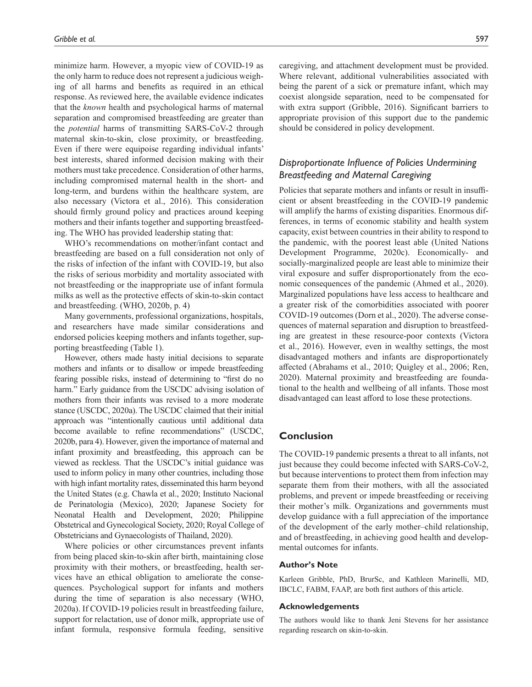minimize harm. However, a myopic view of COVID-19 as the only harm to reduce does not represent a judicious weighing of all harms and benefits as required in an ethical response. As reviewed here, the available evidence indicates that the *known* health and psychological harms of maternal separation and compromised breastfeeding are greater than the *potential* harms of transmitting SARS-CoV-2 through maternal skin-to-skin, close proximity, or breastfeeding. Even if there were equipoise regarding individual infants' best interests, shared informed decision making with their mothers must take precedence. Consideration of other harms, including compromised maternal health in the short- and long-term, and burdens within the healthcare system, are also necessary [\(Victora et](#page-11-1) al., 2016). This consideration should firmly ground policy and practices around keeping mothers and their infants together and supporting breastfeeding. The WHO has provided leadership stating that:

WHO's recommendations on mother/infant contact and breastfeeding are based on a full consideration not only of the risks of infection of the infant with COVID-19, but also the risks of serious morbidity and mortality associated with not breastfeeding or the inappropriate use of infant formula milks as well as the protective effects of skin-to-skin contact and breastfeeding. [\(WHO, 2020b](#page-11-6), p. 4)

Many governments, professional organizations, hospitals, and researchers have made similar considerations and endorsed policies keeping mothers and infants together, supporting breastfeeding [\(Table](#page-3-0) 1).

However, others made hasty initial decisions to separate mothers and infants or to disallow or impede breastfeeding fearing possible risks, instead of determining to "first do no harm." Early guidance from the USCDC advising isolation of mothers from their infants was revised to a more moderate stance ([USCDC, 2020a\)](#page-11-20). The USCDC claimed that their initial approach was "intentionally cautious until additional data become available to refine recommendations" ([USCDC,](#page-11-21) [2020b,](#page-11-21) para 4). However, given the importance of maternal and infant proximity and breastfeeding, this approach can be viewed as reckless. That the USCDC's initial guidance was used to inform policy in many other countries, including those with high infant mortality rates, disseminated this harm beyond the United States (e.g. [Chawla et](#page-7-4) al., 2020; [Instituto Nacional](#page-8-5) [de Perinatologia \(Mexico\), 2020](#page-8-5); [Japanese Society for](#page-8-4) [Neonatal Health and Development, 2020](#page-8-4); [Philippine](#page-10-8) [Obstetrical and Gynecological Society, 2020](#page-10-8); [Royal College of](#page-10-9) [Obstetricians and Gynaecologists of Thailand, 2020](#page-10-9)).

Where policies or other circumstances prevent infants from being placed skin-to-skin after birth, maintaining close proximity with their mothers, or breastfeeding, health services have an ethical obligation to ameliorate the consequences. Psychological support for infants and mothers during the time of separation is also necessary [\(WHO,](#page-11-4) [2020a\)](#page-11-4). If COVID-19 policies result in breastfeeding failure, support for relactation, use of donor milk, appropriate use of infant formula, responsive formula feeding, sensitive

caregiving, and attachment development must be provided. Where relevant, additional vulnerabilities associated with being the parent of a sick or premature infant, which may coexist alongside separation, need to be compensated for with extra support [\(Gribble, 2016](#page-8-18)). Significant barriers to appropriate provision of this support due to the pandemic should be considered in policy development.

# *Disproportionate Influence of Policies Undermining Breastfeeding and Maternal Caregiving*

Policies that separate mothers and infants or result in insufficient or absent breastfeeding in the COVID-19 pandemic will amplify the harms of existing disparities. Enormous differences, in terms of economic stability and health system capacity, exist between countries in their ability to respond to the pandemic, with the poorest least able [\(United Nations](#page-11-22) [Development Programme, 2020c](#page-11-22)). Economically- and socially-marginalized people are least able to minimize their viral exposure and suffer disproportionately from the economic consequences of the pandemic ([Ahmed et](#page-7-18) al., 2020). Marginalized populations have less access to healthcare and a greater risk of the comorbidities associated with poorer COVID-19 outcomes (Dorn et [al., 2020](#page-8-19)). The adverse consequences of maternal separation and disruption to breastfeeding are greatest in these resource-poor contexts [\(Victora](#page-11-1) et [al., 2016](#page-11-1)). However, even in wealthy settings, the most disadvantaged mothers and infants are disproportionately affected ([Abrahams et](#page-7-13) al., 2010; [Quigley et](#page-10-22) al., 2006; [Ren,](#page-10-23) [2020](#page-10-23)). Maternal proximity and breastfeeding are foundational to the health and wellbeing of all infants. Those most disadvantaged can least afford to lose these protections.

## **Conclusion**

The COVID-19 pandemic presents a threat to all infants, not just because they could become infected with SARS-CoV-2, but because interventions to protect them from infection may separate them from their mothers, with all the associated problems, and prevent or impede breastfeeding or receiving their mother's milk. Organizations and governments must develop guidance with a full appreciation of the importance of the development of the early mother–child relationship, and of breastfeeding, in achieving good health and developmental outcomes for infants.

#### **Author's Note**

Karleen Gribble, PhD, BrurSc, and Kathleen Marinelli, MD, IBCLC, FABM, FAAP, are both first authors of this article.

#### **Acknowledgements**

The authors would like to thank Jeni Stevens for her assistance regarding research on skin-to-skin.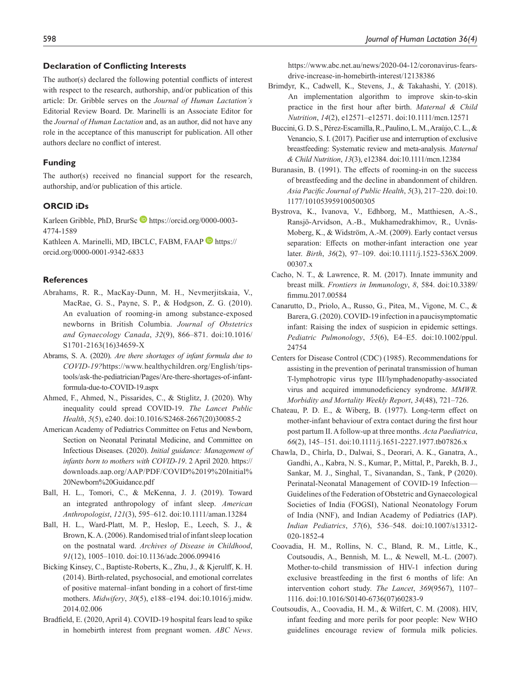#### **Declaration of Conflicting Interests**

The author(s) declared the following potential conflicts of interest with respect to the research, authorship, and/or publication of this article: Dr. Gribble serves on the *Journal of Human Lactation's* Editorial Review Board. Dr. Marinelli is an Associate Editor for the *Journal of Human Lactation* and, as an author, did not have any role in the acceptance of this manuscript for publication. All other authors declare no conflict of interest.

#### **Funding**

The author(s) received no financial support for the research, authorship, and/or publication of this article.

#### **ORCID iDs**

Karleen Gribble, PhD, BrurSc [https://orcid.org/0000-0003-](https://orcid.org/0000-0003-4774-1589) [4774-1589](https://orcid.org/0000-0003-4774-1589)

Kathleen A. Marinelli, MD, IBCLC, FABM, FAAP [https://](https://orcid.org/0000-0001-9342-6833) [orcid.org/0000-0001-9342-6833](https://orcid.org/0000-0001-9342-6833)

#### **References**

- <span id="page-7-13"></span>Abrahams, R. R., MacKay-Dunn, M. H., Nevmerjitskaia, V., MacRae, G. S., Payne, S. P., & Hodgson, Z. G. (2010). An evaluation of rooming-in among substance-exposed newborns in British Columbia. *Journal of Obstetrics and Gynaecology Canada*, *32*(9), 866–871. doi:10.1016/ S1701-2163(16)34659-X
- <span id="page-7-1"></span>Abrams, S. A. (2020). *Are there shortages of infant formula due to COVID-19?*[https://www.healthychildren.org/English/tips](https://www.healthychildren.org/English/tips-tools/ask-the-pediatrician/Pages/Are-there-shortages-of-infant-formula-due-to-COVID-19.aspx)[tools/ask-the-pediatrician/Pages/Are-there-shortages-of-infant](https://www.healthychildren.org/English/tips-tools/ask-the-pediatrician/Pages/Are-there-shortages-of-infant-formula-due-to-COVID-19.aspx)[formula-due-to-COVID-19.aspx](https://www.healthychildren.org/English/tips-tools/ask-the-pediatrician/Pages/Are-there-shortages-of-infant-formula-due-to-COVID-19.aspx)
- <span id="page-7-18"></span>Ahmed, F., Ahmed, N., Pissarides, C., & Stiglitz, J. (2020). Why inequality could spread COVID-19. *The Lancet Public Health*, *5*(5), e240. doi:10.1016/S2468-2667(20)30085-2
- <span id="page-7-2"></span>American Academy of Pediatrics Committee on Fetus and Newborn, Section on Neonatal Perinatal Medicine, and Committee on Infectious Diseases. (2020). *Initial guidance: Management of infants born to mothers with COVID-19*. 2 April 2020. [https://](https://downloads.aap.org/AAP/PDF/COVID%2019%20Initial%20Newborn%20Guidance.pdf) [downloads.aap.org/AAP/PDF/COVID%2019%20Initial%](https://downloads.aap.org/AAP/PDF/COVID%2019%20Initial%20Newborn%20Guidance.pdf) [20Newborn%20Guidance.pdf](https://downloads.aap.org/AAP/PDF/COVID%2019%20Initial%20Newborn%20Guidance.pdf)
- <span id="page-7-12"></span>Ball, H. L., Tomori, C., & McKenna, J. J. (2019). Toward an integrated anthropology of infant sleep. *American Anthropologist*, *121*(3), 595–612. doi:10.1111/aman.13284
- <span id="page-7-6"></span>Ball, H. L., Ward-Platt, M. P., Heslop, E., Leech, S. J., & Brown, K. A. (2006). Randomised trial of infant sleep location on the postnatal ward. *Archives of Disease in Childhood*, *91*(12), 1005–1010. doi:10.1136/adc.2006.099416
- <span id="page-7-10"></span>Bicking Kinsey, C., Baptiste-Roberts, K., Zhu, J., & Kjerulff, K. H. (2014). Birth-related, psychosocial, and emotional correlates of positive maternal–infant bonding in a cohort of first-time mothers. *Midwifery*, *30*(5), e188–e194. doi:10.1016/j.midw. 2014.02.006
- <span id="page-7-14"></span>Bradfield, E. (2020, April 4). COVID-19 hospital fears lead to spike in homebirth interest from pregnant women. *ABC News*.

[https://www.abc.net.au/news/2020-04-12/coronavirus-fears](https://www.abc.net.au/news/2020-04-12/coronavirus-fears-drive-increase-in-homebirth-interest/12138386)[drive-increase-in-homebirth-interest/12138386](https://www.abc.net.au/news/2020-04-12/coronavirus-fears-drive-increase-in-homebirth-interest/12138386)

- <span id="page-7-7"></span>Brimdyr, K., Cadwell, K., Stevens, J., & Takahashi, Y. (2018). An implementation algorithm to improve skin-to-skin practice in the first hour after birth. *Maternal & Child Nutrition*, *14*(2), e12571–e12571. doi:10.1111/mcn.12571
- <span id="page-7-5"></span>Buccini, G. D. S., Pérez-Escamilla, R., Paulino, L. M., Araújo, C. L., & Venancio, S. I. (2017). Pacifier use and interruption of exclusive breastfeeding: Systematic review and meta-analysis. *Maternal & Child Nutrition*, *13*(3), e12384. doi:10.1111/mcn.12384
- <span id="page-7-11"></span>Buranasin, B. (1991). The effects of rooming-in on the success of breastfeeding and the decline in abandonment of children. *Asia Pacific Journal of Public Health*, *5*(3), 217–220. doi:10. 1177/101053959100500305
- <span id="page-7-9"></span>Bystrova, K., Ivanova, V., Edhborg, M., Matthiesen, A.-S., Ransjö-Arvidson, A.-B., Mukhamedrakhimov, R., Uvnäs-Moberg, K., & Widström, A.-M. (2009). Early contact versus separation: Effects on mother-infant interaction one year later. *Birth*, *36*(2), 97–109. doi:10.1111/j.1523-536X.2009. 00307.x
- <span id="page-7-0"></span>Cacho, N. T., & Lawrence, R. M. (2017). Innate immunity and breast milk. *Frontiers in Immunology*, *8*, 584. doi:10.3389/ fimmu.2017.00584
- <span id="page-7-3"></span>Canarutto, D., Priolo, A., Russo, G., Pitea, M., Vigone, M. C., & Barera, G. (2020). COVID‐19 infection in a paucisymptomatic infant: Raising the index of suspicion in epidemic settings. *Pediatric Pulmonology*, *55*(6), E4–E5. doi:10.1002/ppul. 24754
- <span id="page-7-15"></span>Centers for Disease Control (CDC) (1985). Recommendations for assisting in the prevention of perinatal transmission of human T-lymphotropic virus type III/lymphadenopathy-associated virus and acquired immunodeficiency syndrome. *MMWR. Morbidity and Mortality Weekly Report*, *34*(48), 721–726.
- <span id="page-7-8"></span>Chateau, P. D. E., & Wiberg, B. (1977). Long-term effect on mother-infant behaviour of extra contact during the first hour post partum II. A follow-up at three months. *Acta Paediatrica*, *66*(2), 145–151. doi:10.1111/j.1651-2227.1977.tb07826.x
- <span id="page-7-4"></span>Chawla, D., Chirla, D., Dalwai, S., Deorari, A. K., Ganatra, A., Gandhi, A., Kabra, N. S., Kumar, P., Mittal, P., Parekh, B. J., Sankar, M. J., Singhal, T., Sivanandan, S., Tank, P (2020). Perinatal-Neonatal Management of COVID-19 Infection— Guidelines of the Federation of Obstetric and Gynaecological Societies of India (FOGSI), National Neonatology Forum of India (NNF), and Indian Academy of Pediatrics (IAP). *Indian Pediatrics*, *57*(6), 536–548. doi:10.1007/s13312- 020-1852-4
- <span id="page-7-17"></span>Coovadia, H. M., Rollins, N. C., Bland, R. M., Little, K., Coutsoudis, A., Bennish, M. L., & Newell, M.-L. (2007). Mother-to-child transmission of HIV-1 infection during exclusive breastfeeding in the first 6 months of life: An intervention cohort study. *The Lancet*, *369*(9567), 1107– 1116. doi:10.1016/S0140-6736(07)60283-9
- <span id="page-7-16"></span>Coutsoudis, A., Coovadia, H. M., & Wilfert, C. M. (2008). HIV, infant feeding and more perils for poor people: New WHO guidelines encourage review of formula milk policies.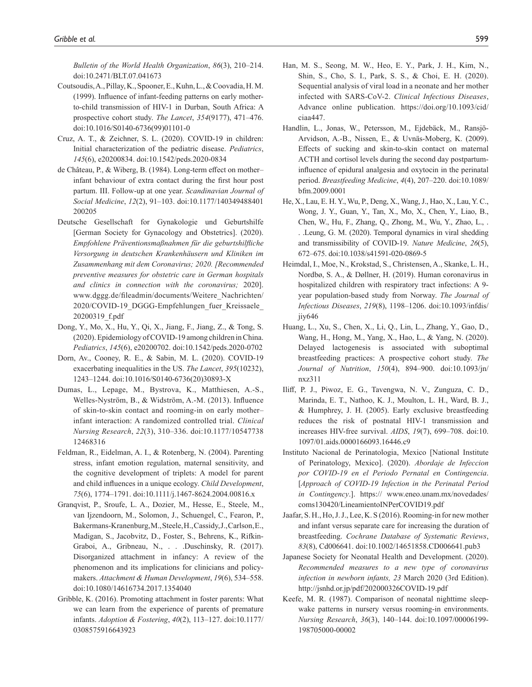*Bulletin of the World Health Organization*, *86*(3), 210–214. doi:10.2471/BLT.07.041673

- <span id="page-8-16"></span>Coutsoudis, A., Pillay, K., Spooner, E., Kuhn, L., & Coovadia, H. M. (1999). Influence of infant-feeding patterns on early motherto-child transmission of HIV-1 in Durban, South Africa: A prospective cohort study. *The Lancet*, *354*(9177), 471–476. doi:10.1016/S0140-6736(99)01101-0
- <span id="page-8-2"></span>Cruz, A. T., & Zeichner, S. L. (2020). COVID-19 in children: Initial characterization of the pediatric disease. *Pediatrics*, *145*(6), e20200834. doi:10.1542/peds.2020-0834
- <span id="page-8-11"></span>de Château, P., & Wiberg, B. (1984). Long-term effect on mother– infant behaviour of extra contact during the first hour post partum. III. Follow-up at one year. *Scandinavian Journal of Social Medicine*, *12*(2), 91–103. doi:10.1177/140349488401 200205
- <span id="page-8-6"></span>Deutsche Gesellschaft for Gynakologie und Geburtshilfe [German Society for Gynacology and Obstetrics]. (2020). *Empfohlene Präventionsmaßnahmen für die geburtshilfliche Versorgung in deutschen Krankenhäusern und Kliniken im Zusammenhang mit dem Coronavirus; 2020. [Recommended preventive measures for obstetric care in German hospitals and clinics in connection with the coronavirus;* 2020]. [www.dggg.de/fileadmin/documents/Weitere\\_Nachrichten/](www.dggg.de/fileadmin/documents/Weitere_Nachrichten/2020/COVID-19_DGGG-Empfehlungen_fuer_Kreissaele_20200319_f.pdf) [2020/COVID-19\\_DGGG-Empfehlungen\\_fuer\\_Kreissaele\\_](www.dggg.de/fileadmin/documents/Weitere_Nachrichten/2020/COVID-19_DGGG-Empfehlungen_fuer_Kreissaele_20200319_f.pdf) [20200319\\_f.pdf](www.dggg.de/fileadmin/documents/Weitere_Nachrichten/2020/COVID-19_DGGG-Empfehlungen_fuer_Kreissaele_20200319_f.pdf)
- <span id="page-8-0"></span>Dong, Y., Mo, X., Hu, Y., Qi, X., Jiang, F., Jiang, Z., & Tong, S. (2020). Epidemiology of COVID-19 among children in China. *Pediatrics*, *145*(6), e20200702. doi:10.1542/peds.2020-0702
- <span id="page-8-19"></span>Dorn, Av., Cooney, R. E., & Sabin, M. L. (2020). COVID-19 exacerbating inequalities in the US. *The Lancet*, *395*(10232), 1243–1244. doi:10.1016/S0140-6736(20)30893-X
- <span id="page-8-10"></span>Dumas, L., Lepage, M., Bystrova, K., Matthiesen, A.-S., Welles-Nyström, B., & Widström, A.-M. (2013). Influence of skin-to-skin contact and rooming-in on early mother– infant interaction: A randomized controlled trial. *Clinical Nursing Research*, *22*(3), 310–336. doi:10.1177/10547738 12468316
- <span id="page-8-13"></span>Feldman, R., Eidelman, A. I., & Rotenberg, N. (2004). Parenting stress, infant emotion regulation, maternal sensitivity, and the cognitive development of triplets: A model for parent and child influences in a unique ecology. *Child Development*, *75*(6), 1774–1791. doi:10.1111/j.1467-8624.2004.00816.x
- <span id="page-8-14"></span>Granqvist, P., Sroufe, L. A., Dozier, M., Hesse, E., Steele, M., van Ijzendoorn, M., Solomon, J., Schuengel, C., Fearon, P., Bakermans-Kranenburg, M., Steele, H., Cassidy, J., Carlson, E., Madigan, S., Jacobvitz, D., Foster, S., Behrens, K., Rifkin-Graboi, A., Gribneau, N., . . .Duschinsky, R. (2017). Disorganized attachment in infancy: A review of the phenomenon and its implications for clinicians and policymakers. *Attachment & Human Development*, *19*(6), 534–558. doi:10.1080/14616734.2017.1354040
- <span id="page-8-18"></span>Gribble, K. (2016). Promoting attachment in foster parents: What we can learn from the experience of parents of premature infants. *Adoption & Fostering*, *40*(2), 113–127. doi:10.1177/ 0308575916643923
- <span id="page-8-3"></span>Han, M. S., Seong, M. W., Heo, E. Y., Park, J. H., Kim, N., Shin, S., Cho, S. I., Park, S. S., & Choi, E. H. (2020). Sequential analysis of viral load in a neonate and her mother infected with SARS-CoV-2. *Clinical Infectious Diseases*, Advance online publication. https://doi.org/10.1093/cid/ ciaa447.
- <span id="page-8-12"></span>Handlin, L., Jonas, W., Petersson, M., Ejdebäck, M., Ransjö-Arvidson, A.-B., Nissen, E., & Uvnäs-Moberg, K. (2009). Effects of sucking and skin-to-skin contact on maternal ACTH and cortisol levels during the second day postpartuminfluence of epidural analgesia and oxytocin in the perinatal period. *Breastfeeding Medicine*, *4*(4), 207–220. doi:10.1089/ bfm.2009.0001
- <span id="page-8-15"></span>He, X., Lau, E. H. Y., Wu, P., Deng, X., Wang, J., Hao, X., Lau, Y. C., Wong, J. Y., Guan, Y., Tan, X., Mo, X., Chen, Y., Liao, B., Chen, W., Hu, F., Zhang, Q., Zhong, M., Wu, Y., Zhao, L., . . .Leung, G. M. (2020). Temporal dynamics in viral shedding and transmissibility of COVID-19. *Nature Medicine*, *26*(5), 672–675. doi:10.1038/s41591-020-0869-5
- <span id="page-8-1"></span>Heimdal, I., Moe, N., Krokstad, S., Christensen, A., Skanke, L. H., Nordbø, S. A., & Døllner, H. (2019). Human coronavirus in hospitalized children with respiratory tract infections: A 9 year population-based study from Norway. *The Journal of Infectious Diseases*, *219*(8), 1198–1206. doi:10.1093/infdis/ jiy646
- <span id="page-8-9"></span>Huang, L., Xu, S., Chen, X., Li, Q., Lin, L., Zhang, Y., Gao, D., Wang, H., Hong, M., Yang, X., Hao, L., & Yang, N. (2020). Delayed lactogenesis is associated with suboptimal breastfeeding practices: A prospective cohort study. *The Journal of Nutrition*, *150*(4), 894–900. doi:10.1093/jn/ nxz311
- <span id="page-8-17"></span>Iliff, P. J., Piwoz, E. G., Tavengwa, N. V., Zunguza, C. D., Marinda, E. T., Nathoo, K. J., Moulton, L. H., Ward, B. J., & Humphrey, J. H. (2005). Early exclusive breastfeeding reduces the risk of postnatal HIV-1 transmission and increases HIV-free survival. *AIDS*, *19*(7), 699–708. doi:10. 1097/01.aids.0000166093.16446.c9
- <span id="page-8-5"></span>Instituto Nacional de Perinatologia, Mexico [National Institute of Perinatology, Mexico]. (2020). *Abordaje de Infeccion por COVID-19 en el Periodo Pernatal en Contingencia*. [*Approach of COVID-19 Infection in the Perinatal Period in Contingency*.]. [https:// www.eneo.unam.mx/novedades/](https://%20www.eneo.unam.mx/novedades/coms130420/LineamientoINPerCOVID19.pdf) [coms130420/LineamientoINPerCOVID19.pdf](https://%20www.eneo.unam.mx/novedades/coms130420/LineamientoINPerCOVID19.pdf)
- <span id="page-8-8"></span>Jaafar, S. H., Ho, J. J., Lee, K. S (2016). Rooming-in for new mother and infant versus separate care for increasing the duration of breastfeeding. *Cochrane Database of Systematic Reviews*, *83*(8), Cd006641. doi:10.1002/14651858.CD006641.pub3
- <span id="page-8-4"></span>Japanese Society for Neonatal Health and Development. (2020). *Recommended measures to a new type of coronavirus infection in newborn infants, 23* March 2020 (3rd Edition). <http://jsnhd.or.jp/pdf/202000326COVID-19.pdf>
- <span id="page-8-7"></span>Keefe, M. R. (1987). Comparison of neonatal nighttime sleepwake patterns in nursery versus rooming-in environments. *Nursing Research*, *36*(3), 140–144. doi:10.1097/00006199- 198705000-00002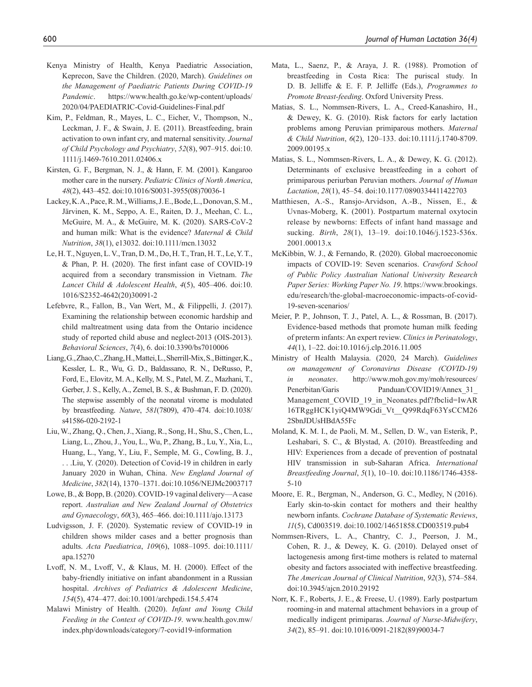- <span id="page-9-7"></span>Kenya Ministry of Health, Kenya Paediatric Association, Keprecon, Save the Children. (2020, March). *Guidelines on the Management of Paediatric Patients During COVID-19 Pandemic*. [https://www.health.go.ke/wp-content/uploads/](https://www.health.go.ke/wp-content/uploads/2020/04/PAEDIATRIC-Covid-Guidelines-Final.pdf) [2020/04/PAEDIATRIC-Covid-Guidelines-Final.pdf](https://www.health.go.ke/wp-content/uploads/2020/04/PAEDIATRIC-Covid-Guidelines-Final.pdf)
- <span id="page-9-16"></span>Kim, P., Feldman, R., Mayes, L. C., Eicher, V., Thompson, N., Leckman, J. F., & Swain, J. E. (2011). Breastfeeding, brain activation to own infant cry, and maternal sensitivity. *Journal of Child Psychology and Psychiatry*, *52*(8), 907–915. doi:10. 1111/j.1469-7610.2011.02406.x
- <span id="page-9-19"></span>Kirsten, G. F., Bergman, N. J., & Hann, F. M. (2001). Kangaroo mother care in the nursery. *Pediatric Clinics of North America*, *48*(2), 443–452. doi:10.1016/S0031-3955(08)70036-1
- <span id="page-9-5"></span>Lackey, K. A., Pace, R. M., Williams, J. E., Bode, L., Donovan, S. M., Järvinen, K. M., Seppo, A. E., Raiten, D. J., Meehan, C. L., McGuire, M. A., & McGuire, M. K. (2020). SARS‐CoV‐2 and human milk: What is the evidence? *Maternal & Child Nutrition*, *38*(1), e13032. doi:10.1111/mcn.13032
- <span id="page-9-4"></span>Le, H. T., Nguyen, L. V., Tran, D. M., Do, H. T., Tran, H. T., Le, Y. T., & Phan, P. H. (2020). The first infant case of COVID-19 acquired from a secondary transmission in Vietnam. *The Lancet Child & Adolescent Health*, *4*(5), 405–406. doi:10. 1016/S2352-4642(20)30091-2
- <span id="page-9-20"></span>Lefebvre, R., Fallon, B., Van Wert, M., & Filippelli, J. (2017). Examining the relationship between economic hardship and child maltreatment using data from the Ontario incidence study of reported child abuse and neglect-2013 (OIS-2013). *Behavioral Sciences*, *7*(4), 6. doi:10.3390/bs7010006
- <span id="page-9-0"></span>Liang, G., Zhao, C., Zhang, H., Mattei, L., Sherrill-Mix, S., Bittinger, K., Kessler, L. R., Wu, G. D., Baldassano, R. N., DeRusso, P., Ford, E., Elovitz, M. A., Kelly, M. S., Patel, M. Z., Mazhani, T., Gerber, J. S., Kelly, A., Zemel, B. S., & Bushman, F. D. (2020). The stepwise assembly of the neonatal virome is modulated by breastfeeding. *Nature*, *581*(7809), 470–474. doi:10.1038/ s41586-020-2192-1
- <span id="page-9-2"></span>Liu, W., Zhang, Q., Chen, J., Xiang, R., Song, H., Shu, S., Chen, L., Liang, L., Zhou, J., You, L., Wu, P., Zhang, B., Lu, Y., Xia, L., Huang, L., Yang, Y., Liu, F., Semple, M. G., Cowling, B. J., . . .Liu, Y. (2020). Detection of Covid-19 in children in early January 2020 in Wuhan, China. *New England Journal of Medicine*, *382*(14), 1370–1371. doi:10.1056/NEJMc2003717
- <span id="page-9-21"></span>Lowe, B., & Bopp, B. (2020). COVID-19 vaginal delivery—A case report. *Australian and New Zealand Journal of Obstetrics and Gynaecology*, *60*(3), 465–466. doi:10.1111/ajo.13173
- <span id="page-9-3"></span>Ludvigsson, J. F. (2020). Systematic review of COVID-19 in children shows milder cases and a better prognosis than adults. *Acta Paediatrica*, *109*(6), 1088–1095. doi:10.1111/ apa.15270
- <span id="page-9-17"></span>Lvoff, N. M., Lvoff, V., & Klaus, M. H. (2000). Effect of the baby-friendly initiative on infant abandonment in a Russian hospital. *Archives of Pediatrics & Adolescent Medicine*, *154*(5), 474–477. doi:10.1001/archpedi.154.5.474
- <span id="page-9-8"></span>Malawi Ministry of Health. (2020). *Infant and Young Child Feeding in the Context of COVID-19*. [www.health.gov.mw/](www.health.gov.mw/index.php/downloads/category/7-covid19-information) [index.php/downloads/category/7-covid19-information](www.health.gov.mw/index.php/downloads/category/7-covid19-information)
- <span id="page-9-18"></span>Mata, L., Saenz, P., & Araya, J. R. (1988). Promotion of breastfeeding in Costa Rica: The puriscal study. In D. B. Jelliffe & E. F. P. Jelliffe (Eds.), *Programmes to Promote Breast-feeding*. Oxford University Press.
- <span id="page-9-10"></span>Matias, S. L., Nommsen-Rivers, L. A., Creed-Kanashiro, H., & Dewey, K. G. (2010). Risk factors for early lactation problems among Peruvian primiparous mothers. *Maternal & Child Nutrition*, *6*(2), 120–133. doi:10.1111/j.1740-8709. 2009.00195.x
- <span id="page-9-12"></span>Matias, S. L., Nommsen-Rivers, L. A., & Dewey, K. G. (2012). Determinants of exclusive breastfeeding in a cohort of primiparous periurban Peruvian mothers. *Journal of Human Lactation*, *28*(1), 45–54. doi:10.1177/0890334411422703
- <span id="page-9-14"></span>Matthiesen, A.-S., Ransjo-Arvidson, A.-B., Nissen, E., & Uvnas-Moberg, K. (2001). Postpartum maternal oxytocin release by newborns: Effects of infant hand massage and sucking. *Birth*, *28*(1), 13–19. doi:10.1046/j.1523-536x. 2001.00013.x
- <span id="page-9-1"></span>McKibbin, W. J., & Fernando, R. (2020). Global macroeconomic impacts of COVID-19: Seven scenarios. *Crawford School of Public Policy Australian National University Research Paper Series: Working Paper No. 19*. [https://www.brookings.](https://www.brookings.edu/research/the-global-macroeconomic-impacts-of-covid-19-seven-scenarios/) [edu/research/the-global-macroeconomic-impacts-of-covid-](https://www.brookings.edu/research/the-global-macroeconomic-impacts-of-covid-19-seven-scenarios/)[19-seven-scenarios/](https://www.brookings.edu/research/the-global-macroeconomic-impacts-of-covid-19-seven-scenarios/)
- <span id="page-9-9"></span>Meier, P. P., Johnson, T. J., Patel, A. L., & Rossman, B. (2017). Evidence-based methods that promote human milk feeding of preterm infants: An expert review. *Clinics in Perinatology*, *44*(1), 1–22. doi:10.1016/j.clp.2016.11.005
- <span id="page-9-6"></span>Ministry of Health Malaysia. (2020, 24 March). *Guidelines on management of Coronavirus Disease (COVID-19) in neonates*. [http://www.moh.gov.my/moh/resources/](http://www.moh.gov.my/moh/resources/Penerbitan/Garis%20Panduan/COVID19/Annex_31_Management_COVID_19_in_Neonates.pdf?fbclid=IwAR16TRggHCK1yiQ4MW9Gdi_Vt__Q99RdqF63YsCCM262SbnJDUsHBdA55Fc) [Penerbitan/Garis Panduan/COVID19/Annex\\_31\\_](http://www.moh.gov.my/moh/resources/Penerbitan/Garis%20Panduan/COVID19/Annex_31_Management_COVID_19_in_Neonates.pdf?fbclid=IwAR16TRggHCK1yiQ4MW9Gdi_Vt__Q99RdqF63YsCCM262SbnJDUsHBdA55Fc) Management COVID 19 in Neonates.pdf?fbclid=IwAR [16TRggHCK1yiQ4MW9Gdi\\_Vt\\_\\_Q99RdqF63YsCCM26](http://www.moh.gov.my/moh/resources/Penerbitan/Garis%20Panduan/COVID19/Annex_31_Management_COVID_19_in_Neonates.pdf?fbclid=IwAR16TRggHCK1yiQ4MW9Gdi_Vt__Q99RdqF63YsCCM262SbnJDUsHBdA55Fc) [2SbnJDUsHBdA55Fc](http://www.moh.gov.my/moh/resources/Penerbitan/Garis%20Panduan/COVID19/Annex_31_Management_COVID_19_in_Neonates.pdf?fbclid=IwAR16TRggHCK1yiQ4MW9Gdi_Vt__Q99RdqF63YsCCM262SbnJDUsHBdA55Fc)
- <span id="page-9-22"></span>Moland, K. M. I., de Paoli, M. M., Sellen, D. W., van Esterik, P., Leshabari, S. C., & Blystad, A. (2010). Breastfeeding and HIV: Experiences from a decade of prevention of postnatal HIV transmission in sub-Saharan Africa. *International Breastfeeding Journal*, *5*(1), 10–10. doi:10.1186/1746-4358- 5-10
- <span id="page-9-13"></span>Moore, E. R., Bergman, N., Anderson, G. C., Medley, N (2016). Early skin-to-skin contact for mothers and their healthy newborn infants. *Cochrane Database of Systematic Reviews*, *11*(5), Cd003519. doi:10.1002/14651858.CD003519.pub4
- <span id="page-9-11"></span>Nommsen-Rivers, L. A., Chantry, C. J., Peerson, J. M., Cohen, R. J., & Dewey, K. G. (2010). Delayed onset of lactogenesis among first-time mothers is related to maternal obesity and factors associated with ineffective breastfeeding. *The American Journal of Clinical Nutrition*, *92*(3), 574–584. doi:10.3945/ajcn.2010.29192
- <span id="page-9-15"></span>Norr, K. F., Roberts, J. E., & Freese, U. (1989). Early postpartum rooming-in and maternal attachment behaviors in a group of medically indigent primiparas. *Journal of Nurse-Midwifery*, *34*(2), 85–91. doi:10.1016/0091-2182(89)90034-7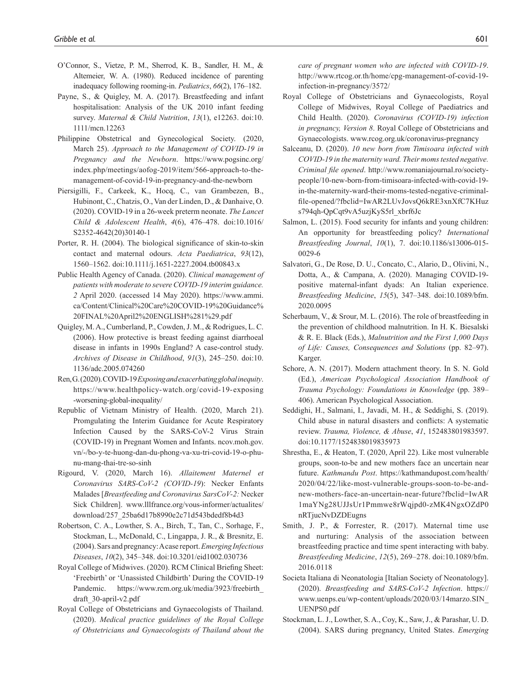- <span id="page-10-18"></span>O'Connor, S., Vietze, P. M., Sherrod, K. B., Sandler, H. M., & Altemeier, W. A. (1980). Reduced incidence of parenting inadequacy following rooming-in. *Pediatrics*, *66*(2), 176–182.
- <span id="page-10-0"></span>Payne, S., & Quigley, M. A. (2017). Breastfeeding and infant hospitalisation: Analysis of the UK 2010 infant feeding survey. *Maternal & Child Nutrition*, *13*(1), e12263. doi:10. 1111/mcn.12263
- <span id="page-10-8"></span>Philippine Obstetrical and Gynecological Society. (2020, March 25). *Approach to the Management of COVID-19 in Pregnancy and the Newborn*. [https://www.pogsinc.org/](https://www.pogsinc.org/index.php/meetings/aofog-2019/item/566-approach-to-the-management-of-covid-19-in-pregnancy-and-the-newborn) [index.php/meetings/aofog-2019/item/566-approach-to-the](https://www.pogsinc.org/index.php/meetings/aofog-2019/item/566-approach-to-the-management-of-covid-19-in-pregnancy-and-the-newborn)[management-of-covid-19-in-pregnancy-and-the-newborn](https://www.pogsinc.org/index.php/meetings/aofog-2019/item/566-approach-to-the-management-of-covid-19-in-pregnancy-and-the-newborn)
- <span id="page-10-5"></span>Piersigilli, F., Carkeek, K., Hocq, C., van Grambezen, B., Hubinont, C., Chatzis, O., Van der Linden, D., & Danhaive, O. (2020). COVID-19 in a 26-week preterm neonate. *The Lancet Child & Adolescent Health*, *4*(6), 476–478. doi:10.1016/ S2352-4642(20)30140-1
- <span id="page-10-15"></span>Porter, R. H. (2004). The biological significance of skin-to-skin contact and maternal odours. *Acta Paediatrica*, *93*(12), 1560–1562. doi:10.1111/j.1651-2227.2004.tb00843.x
- <span id="page-10-14"></span>Public Health Agency of Canada. (2020). *Clinical management of patients with moderate to severe COVID-19 interim guidance. 2* April 2020. (accessed 14 May 2020). [https://www.ammi.](https://www.ammi.ca/Content/Clinical%20Care%20COVID-19%20Guidance%20FINAL%20April2%20ENGLISH%281%29.pdf) [ca/Content/Clinical%20Care%20COVID-19%20Guidance%](https://www.ammi.ca/Content/Clinical%20Care%20COVID-19%20Guidance%20FINAL%20April2%20ENGLISH%281%29.pdf) [20FINAL%20April2%20ENGLISH%281%29.pdf](https://www.ammi.ca/Content/Clinical%20Care%20COVID-19%20Guidance%20FINAL%20April2%20ENGLISH%281%29.pdf)
- <span id="page-10-22"></span>Quigley, M. A., Cumberland, P., Cowden, J. M., & Rodrigues, L. C. (2006). How protective is breast feeding against diarrhoeal disease in infants in 1990s England? A case-control study. *Archives of Disease in Childhood*, *91*(3), 245–250. doi:10. 1136/adc.2005.074260
- <span id="page-10-23"></span>Ren, G. (2020). COVID-19 *Exposing and exacerbating global inequity*. [https://www.healthpolicy-watch.org/covid-19-exposing](https://www.healthpolicy-watch.org/covid-19-exposing-worsening-global-inequality/) [-worsening-global-inequality/](https://www.healthpolicy-watch.org/covid-19-exposing-worsening-global-inequality/)
- <span id="page-10-10"></span>Republic of Vietnam Ministry of Health. (2020, March 21). Promgulating the Interim Guidance for Acute Respiratory Infection Caused by the SARS-CoV-2 Virus Strain (COVID-19) in Pregnant Women and Infants. [ncov.moh.gov.](ncov.moh.gov.vn/-/bo-y-te-huong-dan-du-phong-va-xu-tri-covid-19-o-phu-nu-mang-thai-tre-so-sinh) [vn/-/bo-y-te-huong-dan-du-phong-va-xu-tri-covid-19-o-phu](ncov.moh.gov.vn/-/bo-y-te-huong-dan-du-phong-va-xu-tri-covid-19-o-phu-nu-mang-thai-tre-so-sinh)[nu-mang-thai-tre-so-sinh](ncov.moh.gov.vn/-/bo-y-te-huong-dan-du-phong-va-xu-tri-covid-19-o-phu-nu-mang-thai-tre-so-sinh)
- <span id="page-10-11"></span>Rigourd, V. (2020, March 16). *Allaitement Maternel et Coronavirus SARS-CoV-2 (COVID-19*): Necker Enfants Malades [*Breastfeeding and Coronavirus SarsCoV-2:* Necker Sick Children]. [www.lllfrance.org/vous-informer/actualites/](www.lllfrance.org/vous-informer/actualites/download/257_25ba6d17b8990e2c71d543bdedf8b4d3) [download/257\\_25ba6d17b8990e2c71d543bdedf8b4d3](www.lllfrance.org/vous-informer/actualites/download/257_25ba6d17b8990e2c71d543bdedf8b4d3)
- <span id="page-10-6"></span>Robertson, C. A., Lowther, S. A., Birch, T., Tan, C., Sorhage, F., Stockman, L., McDonald, C., Lingappa, J. R., & Bresnitz, E. (2004). Sars and pregnancy: A case report. *Emerging Infectious Diseases*, *10*(2), 345–348. doi:10.3201/eid1002.030736
- <span id="page-10-20"></span>Royal College of Midwives. (2020). RCM Clinical Briefing Sheet: 'Freebirth' or 'Unassisted Childbirth' During the COVID-19 Pandemic. [https://www.rcm.org.uk/media/3923/freebirth\\_](https://www.rcm.org.uk/media/3923/freebirth_draft_30-april-v2.pdf) [draft\\_30-april-v2.pdf](https://www.rcm.org.uk/media/3923/freebirth_draft_30-april-v2.pdf)
- <span id="page-10-9"></span>Royal College of Obstetricians and Gynaecologists of Thailand. (2020). *Medical practice guidelines of the Royal College of Obstetricians and Gynaecologists of Thailand about the*

*care of pregnant women who are infected with COVID-19*. [http://www.rtcog.or.th/home/cpg-management-of-covid-19](http://www.rtcog.or.th/home/cpg-management-of-covid-19-infection-in-pregnancy/3572/) [infection-in-pregnancy/3572/](http://www.rtcog.or.th/home/cpg-management-of-covid-19-infection-in-pregnancy/3572/)

- <span id="page-10-13"></span>Royal College of Obstetricians and Gynaecologists, Royal College of Midwives, Royal College of Paediatrics and Child Health. (2020). *Coronavirus (COVID-19) infection in pregnancy, Version 8*. Royal College of Obstetricians and Gynaecologists.<www.rcog.org.uk/coronavirus-pregnancy>
- <span id="page-10-21"></span>Salceanu, D. (2020). *10 new born from Timisoara infected with COVID-19 in the maternity ward. Their moms tested negative. Criminal file opened*. [http://www.romaniajournal.ro/society](http://www.romaniajournal.ro/society-people/10-new-born-from-timisoara-infected-with-covid-19-in-the-maternity-ward-their-moms-tested-negative-criminal-file-opened/?fbclid=IwAR2LUvJovsQ6kRE3xnXfC7KHuzs794qh-QpCqt9vA5uzjKyS5rl_xbrf6Jc)[people/10-new-born-from-timisoara-infected-with-covid-19](http://www.romaniajournal.ro/society-people/10-new-born-from-timisoara-infected-with-covid-19-in-the-maternity-ward-their-moms-tested-negative-criminal-file-opened/?fbclid=IwAR2LUvJovsQ6kRE3xnXfC7KHuzs794qh-QpCqt9vA5uzjKyS5rl_xbrf6Jc) [in-the-maternity-ward-their-moms-tested-negative-criminal](http://www.romaniajournal.ro/society-people/10-new-born-from-timisoara-infected-with-covid-19-in-the-maternity-ward-their-moms-tested-negative-criminal-file-opened/?fbclid=IwAR2LUvJovsQ6kRE3xnXfC7KHuzs794qh-QpCqt9vA5uzjKyS5rl_xbrf6Jc)[file-opened/?fbclid=IwAR2LUvJovsQ6kRE3xnXfC7KHuz](http://www.romaniajournal.ro/society-people/10-new-born-from-timisoara-infected-with-covid-19-in-the-maternity-ward-their-moms-tested-negative-criminal-file-opened/?fbclid=IwAR2LUvJovsQ6kRE3xnXfC7KHuzs794qh-QpCqt9vA5uzjKyS5rl_xbrf6Jc) [s794qh-QpCqt9vA5uzjKyS5rl\\_xbrf6Jc](http://www.romaniajournal.ro/society-people/10-new-born-from-timisoara-infected-with-covid-19-in-the-maternity-ward-their-moms-tested-negative-criminal-file-opened/?fbclid=IwAR2LUvJovsQ6kRE3xnXfC7KHuzs794qh-QpCqt9vA5uzjKyS5rl_xbrf6Jc)
- <span id="page-10-2"></span>Salmon, L. (2015). Food security for infants and young children: An opportunity for breastfeeding policy? *International Breastfeeding Journal*, *10*(1), 7. doi:10.1186/s13006-015- 0029-6
- <span id="page-10-4"></span>Salvatori, G., De Rose, D. U., Concato, C., Alario, D., Olivini, N., Dotta, A., & Campana, A. (2020). Managing COVID-19 positive maternal-infant dyads: An Italian experience. *Breastfeeding Medicine*, *15*(5), 347–348. doi:10.1089/bfm. 2020.0095
- <span id="page-10-3"></span>Scherbaum, V., & Srour, M. L. (2016). The role of breastfeeding in the prevention of childhood malnutrition. In H. K. Biesalski & R. E. Black (Eds.), *Malnutrition and the First 1,000 Days of Life: Causes, Consequences and Solutions* (pp. 82–97). Karger.
- <span id="page-10-16"></span>Schore, A. N. (2017). Modern attachment theory. In S. N. Gold (Ed.), *American Psychological Association Handbook of Trauma Psychology: Foundations in Knowledge* (pp. 389– 406). American Psychological Association.
- <span id="page-10-19"></span>Seddighi, H., Salmani, I., Javadi, M. H., & Seddighi, S. (2019). Child abuse in natural disasters and conflicts: A systematic review. *Trauma, Violence, & Abuse*, *41*, 152483801983597. doi:10.1177/1524838019835973
- <span id="page-10-1"></span>Shrestha, E., & Heaton, T. (2020, April 22). Like most vulnerable groups, soon-to-be and new mothers face an uncertain near future. *Kathmandu Post*. [https://kathmandupost.com/health/](https://kathmandupost.com/health/2020/04/22/like-most-vulnerable-groups-soon-to-be-and-new-mothers-face-an-uncertain-near-future?fbclid=IwAR1maYNg28UJJsUr1Pmmwe8rWqjpd0-zMK4NgxOZdP0nRTjucNvDZDEugns) [2020/04/22/like-most-vulnerable-groups-soon-to-be-and](https://kathmandupost.com/health/2020/04/22/like-most-vulnerable-groups-soon-to-be-and-new-mothers-face-an-uncertain-near-future?fbclid=IwAR1maYNg28UJJsUr1Pmmwe8rWqjpd0-zMK4NgxOZdP0nRTjucNvDZDEugns)[new-mothers-face-an-uncertain-near-future?fbclid=IwAR](https://kathmandupost.com/health/2020/04/22/like-most-vulnerable-groups-soon-to-be-and-new-mothers-face-an-uncertain-near-future?fbclid=IwAR1maYNg28UJJsUr1Pmmwe8rWqjpd0-zMK4NgxOZdP0nRTjucNvDZDEugns) [1maYNg28UJJsUr1Pmmwe8rWqjpd0-zMK4NgxOZdP0](https://kathmandupost.com/health/2020/04/22/like-most-vulnerable-groups-soon-to-be-and-new-mothers-face-an-uncertain-near-future?fbclid=IwAR1maYNg28UJJsUr1Pmmwe8rWqjpd0-zMK4NgxOZdP0nRTjucNvDZDEugns) [nRTjucNvDZDEugns](https://kathmandupost.com/health/2020/04/22/like-most-vulnerable-groups-soon-to-be-and-new-mothers-face-an-uncertain-near-future?fbclid=IwAR1maYNg28UJJsUr1Pmmwe8rWqjpd0-zMK4NgxOZdP0nRTjucNvDZDEugns)
- <span id="page-10-17"></span>Smith, J. P., & Forrester, R. (2017). Maternal time use and nurturing: Analysis of the association between breastfeeding practice and time spent interacting with baby. *Breastfeeding Medicine*, *12*(5), 269–278. doi:10.1089/bfm. 2016.0118
- <span id="page-10-12"></span>Societa Italiana di Neonatologia [Italian Society of Neonatology]. (2020). *Breastfeeding and SARS-CoV-2 Infection*. [https://](https://www.uenps.eu/wp-content/uploads/2020/03/14marzo.SIN_UENPS0.pdf) [www.uenps.eu/wp-content/uploads/2020/03/14marzo.SIN\\_](https://www.uenps.eu/wp-content/uploads/2020/03/14marzo.SIN_UENPS0.pdf) [UENPS0.pdf](https://www.uenps.eu/wp-content/uploads/2020/03/14marzo.SIN_UENPS0.pdf)
- <span id="page-10-7"></span>Stockman, L. J., Lowther, S. A., Coy, K., Saw, J., & Parashar, U. D. (2004). SARS during pregnancy, United States. *Emerging*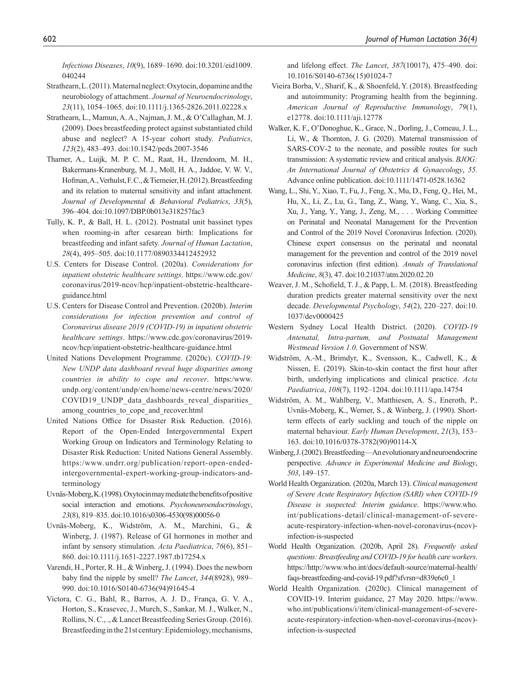*Infectious Diseases*, *10*(9), 1689–1690. doi:10.3201/eid1009. 040244

- <span id="page-11-13"></span>Strathearn, L. (2011). Maternal neglect: Oxytocin, dopamine and the neurobiology of attachment. *Journal of Neuroendocrinology*, *23*(11), 1054–1065. doi:10.1111/j.1365-2826.2011.02228.x
- <span id="page-11-19"></span>Strathearn, L., Mamun, A. A., Najman, J. M., & O'Callaghan, M. J. (2009). Does breastfeeding protect against substantiated child abuse and neglect? A 15-year cohort study. *Pediatrics*, *123*(2), 483–493. doi:10.1542/peds.2007-3546
- <span id="page-11-18"></span>Tharner, A., Luijk, M. P. C. M., Raat, H., IJzendoorn, M. H., Bakermans-Kranenburg, M. J., Moll, H. A., Jaddoe, V. W. V., Hofman, A., Verhulst, F. C., & Tiemeier, H. (2012). Breastfeeding and its relation to maternal sensitivity and infant attachment. *Journal of Developmental & Behavioral Pediatrics*, *33*(5), 396–404. doi:10.1097/DBP.0b013e318257fac3
- <span id="page-11-10"></span>Tully, K. P., & Ball, H. L. (2012). Postnatal unit bassinet types when rooming-in after cesarean birth: Implications for breastfeeding and infant safety. *Journal of Human Lactation*, *28*(4), 495–505. doi:10.1177/0890334412452932
- <span id="page-11-20"></span>U.S. Centers for Disease Control. (2020a). *Considerations for inpatient obstetric healthcare settings*. [https://www.cdc.gov/](https://www.cdc.gov/coronavirus/2019-ncov/hcp/inpatient-obstetric-healthcare-guidance.html) [coronavirus/2019-ncov/hcp/inpatient-obstetric-healthcare](https://www.cdc.gov/coronavirus/2019-ncov/hcp/inpatient-obstetric-healthcare-guidance.html)[guidance.html](https://www.cdc.gov/coronavirus/2019-ncov/hcp/inpatient-obstetric-healthcare-guidance.html)
- <span id="page-11-21"></span>U.S. Centers for Disease Control and Prevention. (2020b). *Interim considerations for infection prevention and control of Coronavirus disease 2019 (COVID-19) in inpatient obstetric healthcare settings*. [https://www.cdc.gov/coronavirus/2019](https://www.cdc.gov/coronavirus/2019-ncov/hcp/inpatient-obstetric-healthcare-guidance.html) [ncov/hcp/inpatient-obstetric-healthcare-guidance.html](https://www.cdc.gov/coronavirus/2019-ncov/hcp/inpatient-obstetric-healthcare-guidance.html)
- <span id="page-11-22"></span>United Nations Development Programme. (2020c). *COVID-19: New UNDP data dashboard reveal huge disparities among countries in ability to cope and recover*. [https:/www.](https:/www.undp.org/content/undp/en/home/news-centre/news/2020/COVID19_UNDP_data_dashboards_reveal_disparities_among_countries_to_cope_and_recover.html) [undp.org/content/undp/en/home/news-centre/news/2020/](https:/www.undp.org/content/undp/en/home/news-centre/news/2020/COVID19_UNDP_data_dashboards_reveal_disparities_among_countries_to_cope_and_recover.html) COVID19 UNDP data dashboards reveal disparities [among\\_countries\\_to\\_cope\\_and\\_recover.html](https:/www.undp.org/content/undp/en/home/news-centre/news/2020/COVID19_UNDP_data_dashboards_reveal_disparities_among_countries_to_cope_and_recover.html)
- <span id="page-11-0"></span>United Nations Office for Disaster Risk Reduction. (2016). Report of the Open-Ended Intergovernmental Expert Working Group on Indicators and Terminology Relating to Disaster Risk Reduction: United Nations General Assembly. [https:/www.undrr.org/publication/report-open-ended](https:/www.undrr.org/publication/report-open-ended-intergovernmental-expert-working-group-indicators-and-terminology)[intergovernmental-expert-working-group-indicators-and](https:/www.undrr.org/publication/report-open-ended-intergovernmental-expert-working-group-indicators-and-terminology)[terminology](https:/www.undrr.org/publication/report-open-ended-intergovernmental-expert-working-group-indicators-and-terminology)
- <span id="page-11-15"></span>Uvnäs-Moberg, K. (1998). Oxytocin may mediate the benefits of positive social interaction and emotions. *Psychoneuroendocrinology*, *23*(8), 819–835. doi:10.1016/s0306-4530(98)00056-0
- <span id="page-11-16"></span>Uvnäs-Moberg, K., Widström, A. M., Marchini, G., & Winberg, J. (1987). Release of GI hormones in mother and infant by sensory stimulation. *Acta Paediatrica*, *76*(6), 851– 860. doi:10.1111/j.1651-2227.1987.tb17254.x
- <span id="page-11-12"></span>Varendi, H., Porter, R. H., & Winberg, J. (1994). Does the newborn baby find the nipple by smell? *The Lancet*, *344*(8928), 989– 990. doi:10.1016/S0140-6736(94)91645-4
- <span id="page-11-1"></span>Victora, C. G., Bahl, R., Barros, A. J. D., França, G. V. A., Horton, S., Krasevec, J., Murch, S., Sankar, M. J., Walker, N., Rollins, N. C., ., & Lancet Breastfeeding Series Group. (2016). Breastfeeding in the 21st century: Epidemiology, mechanisms,

and lifelong effect. *The Lancet*, *387*(10017), 475–490. doi: 10.1016/S0140-6736(15)01024-7

- <span id="page-11-2"></span>Vieira Borba, V., Sharif, K., & Shoenfeld, Y. (2018). Breastfeeding and autoimmunity: Programing health from the beginning. *American Journal of Reproductive Immunology*, *79*(1), e12778. doi:10.1111/aji.12778
- <span id="page-11-3"></span>Walker, K. F., O'Donoghue, K., Grace, N., Dorling, J., Comeau, J. L., Li, W., & Thornton, J. G. (2020). Maternal transmission of SARS-COV-2 to the neonate, and possible routes for such transmission: A systematic review and critical analysis. *BJOG: An International Journal of Obstetrics & Gynaecology*, *55.*  Advance online publication. doi:10.1111/1471-0528.16362
- <span id="page-11-7"></span>Wang, L., Shi, Y., Xiao, T., Fu, J., Feng, X., Mu, D., Feng, Q., Hei, M., Hu, X., Li, Z., Lu, G., Tang, Z., Wang, Y., Wang, C., Xia, S., Xu, J., Yang, Y., Yang, J., Zeng, M., . . . Working Committee on Perinatal and Neonatal Management for the Prevention and Control of the 2019 Novel Coronavirus Infection. (2020). Chinese expert consensus on the perinatal and neonatal management for the prevention and control of the 2019 novel coronavirus infection (first edition). *Annals of Translational Medicine*, *8*(3), 47. doi:10.21037/atm.2020.02.20
- <span id="page-11-17"></span>Weaver, J. M., Schofield, T. J., & Papp, L. M. (2018). Breastfeeding duration predicts greater maternal sensitivity over the next decade. *Developmental Psychology*, *54*(2), 220–227. doi:10. 1037/dev0000425
- <span id="page-11-8"></span>Western Sydney Local Health District. (2020). *COVID-19 Antenatal, Intra-partum, and Postnatal Management Westmead Version 1.0*. Government of NSW.
- <span id="page-11-11"></span>Widström, A.-M., Brimdyr, K., Svensson, K., Cadwell, K., & Nissen, E. (2019). Skin-to-skin contact the first hour after birth, underlying implications and clinical practice. *Acta Paediatrica*, *108*(7), 1192–1204. doi:10.1111/apa.14754
- <span id="page-11-14"></span>Widström, A. M., Wahlberg, V., Matthiesen, A. S., Eneroth, P., Uvnäs-Moberg, K., Werner, S., & Winberg, J. (1990). Shortterm effects of early suckling and touch of the nipple on maternal behaviour. *Early Human Development*, *21*(3), 153– 163. doi:10.1016/0378-3782(90)90114-X
- <span id="page-11-9"></span>Winberg, J. (2002). Breastfeeding—An evolutionary and neuroendocrine perspective. *Advance in Experimental Medicine and Biology*, *503*, 149–157.
- <span id="page-11-4"></span>World Health Organization. (2020a, March 13). *Clinical management of Severe Acute Respiratory Infection (SARI) when COVID-19 Disease is suspected: Interim guidance*. [https://www.who.](https://www.who.int/publications-detail/clinical-management-of-severe-acute-respiratory-infection-when-novel-coronavirus-(ncov)-infection-is-suspected) [int/publications-detail/clinical-management-of-severe](https://www.who.int/publications-detail/clinical-management-of-severe-acute-respiratory-infection-when-novel-coronavirus-(ncov)-infection-is-suspected)[acute-respiratory-infection-when-novel-coronavirus-\(ncov\)](https://www.who.int/publications-detail/clinical-management-of-severe-acute-respiratory-infection-when-novel-coronavirus-(ncov)-infection-is-suspected) [infection-is-suspected](https://www.who.int/publications-detail/clinical-management-of-severe-acute-respiratory-infection-when-novel-coronavirus-(ncov)-infection-is-suspected)
- <span id="page-11-6"></span>World Health Organization. (2020b, April 28). *Frequently asked questions: Breastfeeding and COVID-19 for health care workers*. [https://http://www.who.int/docs/default-source/maternal-health/](https://http://www.who.int/docs/default-source/maternal-health/faqs-breastfeeding-and-covid-19.pdf?sfvrsn=d839e6c0_1) [faqs-breastfeeding-and-covid-19.pdf?sfvrsn=d839e6c0\\_1](https://http://www.who.int/docs/default-source/maternal-health/faqs-breastfeeding-and-covid-19.pdf?sfvrsn=d839e6c0_1)
- <span id="page-11-5"></span>World Health Organization. (2020c). Clinical management of COVID-19. Interim guidance, 27 May 2020. [https://www.](https://www.who.int/publications/i/item/clinical-management-of-severe-acute-respiratory-infection-when-novel-coronavirus-(ncov)-infection-is-suspected) [who.int/publications/i/item/clinical-management-of-severe](https://www.who.int/publications/i/item/clinical-management-of-severe-acute-respiratory-infection-when-novel-coronavirus-(ncov)-infection-is-suspected)[acute-respiratory-infection-when-novel-coronavirus-\(ncov\)](https://www.who.int/publications/i/item/clinical-management-of-severe-acute-respiratory-infection-when-novel-coronavirus-(ncov)-infection-is-suspected) [infection-is-suspected](https://www.who.int/publications/i/item/clinical-management-of-severe-acute-respiratory-infection-when-novel-coronavirus-(ncov)-infection-is-suspected)